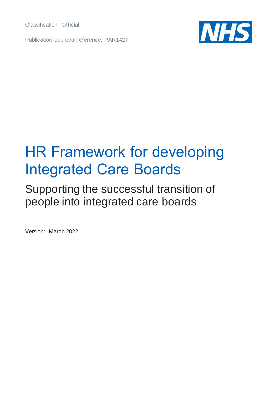Classification: Official

Publication approval reference: PAR1427



## HR Framework for developing Integrated Care Boards

## Supporting the successful transition of people into integrated care boards

Version: March 2022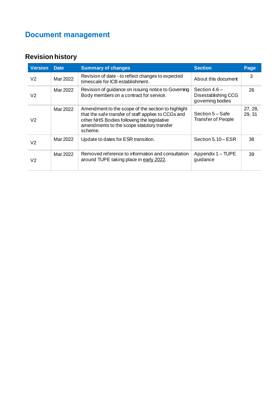## **Document management**

#### **Revision history**

| <b>Version</b> | <b>Date</b> | <b>Summary of changes</b>                                                                                                                                                                                        | <b>Section</b>                                            | Page              |
|----------------|-------------|------------------------------------------------------------------------------------------------------------------------------------------------------------------------------------------------------------------|-----------------------------------------------------------|-------------------|
| V <sub>2</sub> | Mar 2022    | Revision of date - to reflect changes to expected<br>timescale for ICB establishment.                                                                                                                            | About this document                                       | 3                 |
| V <sub>2</sub> | Mar 2022    | Revision of guidance on issuing notice to Governing<br>Body members on a contract for service.                                                                                                                   | Section $4.6-$<br>Disestablishing CCG<br>governing bodies | 26                |
| V <sub>2</sub> | Mar 2022    | Amendment to the scope of the section to highlight<br>that the safe transfer of staff applies to CCGs and<br>other NHS Bodies following the legislative<br>amendments to the scope statutory transfer<br>scheme. | Section 5 – Safe<br><b>Transfer of People</b>             | 27, 28,<br>29, 31 |
| V <sub>2</sub> | Mar 2022    | Update to dates for ESR transition.                                                                                                                                                                              | Section 5.10 – ESR                                        | 38                |
| V2             | Mar 2022    | Removed reference to information and consultation<br>around TUPE taking place in early 2022.                                                                                                                     | Appendix 1 - TUPE<br>guidance                             | 39                |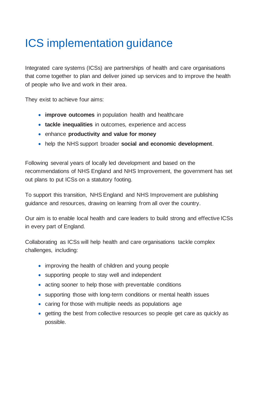## ICS implementation guidance

Integrated care systems (ICSs) are partnerships of health and care organisations that come together to plan and deliver joined up services and to improve the health of people who live and work in their area.

They exist to achieve four aims:

- **improve outcomes** in population health and healthcare
- **tackle inequalities** in outcomes, experience and access
- enhance **productivity and value for money**
- help the NHS support broader **social and economic development**.

Following several years of locally led development and based on the recommendations of NHS England and NHS Improvement, the government has set out plans to put ICSs on a statutory footing.

To support this transition, NHS England and NHS Improvement are publishing guidance and resources, drawing on learning from all over the country.

Our aim is to enable local health and care leaders to build strong and effective ICSs in every part of England.

Collaborating as ICSs will help health and care organisations tackle complex challenges, including:

- improving the health of children and young people
- supporting people to stay well and independent
- acting sooner to help those with preventable conditions
- supporting those with long-term conditions or mental health issues
- caring for those with multiple needs as populations age
- getting the best from collective resources so people get care as quickly as possible.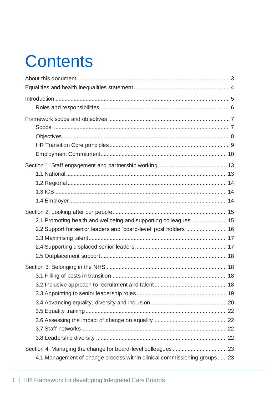# **Contents**

| 2.1 Promoting health and wellbeing and supporting colleagues  15          |  |
|---------------------------------------------------------------------------|--|
| 2.2 Support for senior leaders and 'board-level' post holders  16         |  |
|                                                                           |  |
|                                                                           |  |
|                                                                           |  |
|                                                                           |  |
|                                                                           |  |
|                                                                           |  |
|                                                                           |  |
|                                                                           |  |
|                                                                           |  |
|                                                                           |  |
|                                                                           |  |
|                                                                           |  |
|                                                                           |  |
| 4.1 Management of change process within clinical commissioning groups  23 |  |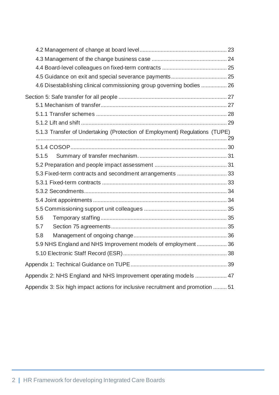| 4.6 Disestablishing clinical commissioning group governing bodies  26           |  |
|---------------------------------------------------------------------------------|--|
|                                                                                 |  |
|                                                                                 |  |
|                                                                                 |  |
|                                                                                 |  |
| 5.1.3 Transfer of Undertaking (Protection of Employment) Regulations (TUPE)     |  |
|                                                                                 |  |
| 5.1.5                                                                           |  |
|                                                                                 |  |
| 5.3 Fixed-term contracts and secondment arrangements  33                        |  |
|                                                                                 |  |
|                                                                                 |  |
|                                                                                 |  |
|                                                                                 |  |
| 5.6                                                                             |  |
| 5.7                                                                             |  |
| 5.8                                                                             |  |
| 5.9 NHS England and NHS Improvement models of employment 36                     |  |
|                                                                                 |  |
|                                                                                 |  |
|                                                                                 |  |
| Appendix 2: NHS England and NHS Improvement operating models  47                |  |
| Appendix 3: Six high impact actions for inclusive recruitment and promotion  51 |  |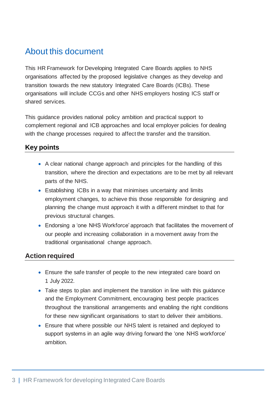#### <span id="page-5-0"></span>About this document

This HR Framework for Developing Integrated Care Boards applies to NHS organisations affected by the proposed legislative changes as they develop and transition towards the new statutory Integrated Care Boards (ICBs). These organisations will include CCGs and other NHS employers hosting ICS staff or shared services.

This guidance provides national policy ambition and practical support to complement regional and ICB approaches and local employer policies for dealing with the change processes required to affect the transfer and the transition.

#### **Key points**

- A clear national change approach and principles for the handling of this transition, where the direction and expectations are to be met by all relevant parts of the NHS.
- Establishing ICBs in a way that minimises uncertainty and limits employment changes, to achieve this those responsible for designing and planning the change must approach it with a different mindset to that for previous structural changes.
- Endorsing a 'one NHS Workforce' approach that facilitates the movement of our people and increasing collaboration in a movement away from the traditional organisational change approach.

#### **Action required**

- Ensure the safe transfer of people to the new integrated care board on 1 July 2022.
- Take steps to plan and implement the transition in line with this quidance and the Employment Commitment, encouraging best people practices throughout the transitional arrangements and enabling the right conditions for these new significant organisations to start to deliver their ambitions.
- Ensure that where possible our NHS talent is retained and deployed to support systems in an agile way driving forward the 'one NHS workforce' ambition.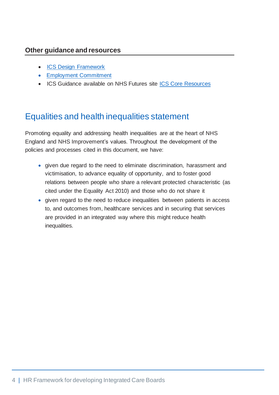#### **Other guidance and resources**

- **[ICS Design Framework](https://www.england.nhs.uk/wp-content/uploads/2021/06/B0642-ics-design-framework-june-2021.pdf)**
- [Employment Commitment](https://www.england.nhs.uk/wp-content/uploads/2021/06/B0724-employment-commitment-guidance-supporting-ics-v1.pdf)
- ICS Guidance available on NHS Futures site [ICS Core Resources](https://future.nhs.uk/ICSGuidance/grouphome)

#### <span id="page-6-0"></span>Equalities and health inequalities statement

Promoting equality and addressing health inequalities are at the heart of NHS England and NHS Improvement's values. Throughout the development of the policies and processes cited in this document, we have:

- given due regard to the need to eliminate discrimination, harassment and victimisation, to advance equality of opportunity, and to foster good relations between people who share a relevant protected characteristic (as cited under the Equality Act 2010) and those who do not share it
- given regard to the need to reduce inequalities between patients in access to, and outcomes from, healthcare services and in securing that services are provided in an integrated way where this might reduce health inequalities.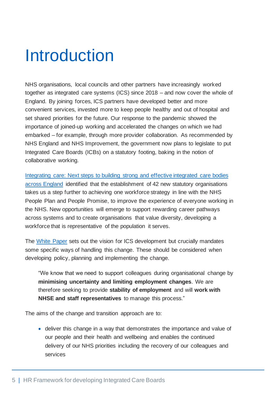## <span id="page-7-0"></span>Introduction

NHS organisations, local councils and other partners have increasingly worked together as integrated care systems (ICS) since 2018 – and now cover the whole of England. By joining forces, ICS partners have developed better and more convenient services, invested more to keep people healthy and out of hospital and set shared priorities for the future. Our response to the pandemic showed the importance of joined-up working and accelerated the changes on which we had embarked – for example, through more provider collaboration. As recommended by NHS England and NHS Improvement, the government now plans to legislate to put Integrated Care Boards (ICBs) on a statutory footing, baking in the notion of collaborative working.

[Integrating care: Next steps to building strong and effective integrated care bodies](https://www.england.nhs.uk/wp-content/uploads/2021/01/integrating-care-next-steps-to-building-strong-and-effective-integrated-care-systems.pdf) [across England](https://www.england.nhs.uk/wp-content/uploads/2021/01/integrating-care-next-steps-to-building-strong-and-effective-integrated-care-systems.pdf) identified that the establishment of 42 new statutory organisations takes us a step further to achieving one workforce strategy in line with the NHS People Plan and People Promise, to improve the experience of everyone working in the NHS. New opportunities will emerge to support rewarding career pathways across systems and to create organisations that value diversity, developing a workforce that is representative of the population it serves.

The [White Paper](https://www.gov.uk/government/publications/working-together-to-improve-health-and-social-care-for-all/integration-and-innovation-working-together-to-improve-health-and-social-care-for-all-html-version) sets out the vision for ICS development but crucially mandates some specific ways of handling this change. These should be considered when developing policy, planning and implementing the change.

"We know that we need to support colleagues during organisational change by **minimising uncertainty and limiting employment changes**. We are therefore seeking to provide **stability of employment** and will **work with NHSE and staff representatives** to manage this process."

The aims of the change and transition approach are to:

• deliver this change in a way that demonstrates the importance and value of our people and their health and wellbeing and enables the continued delivery of our NHS priorities including the recovery of our colleagues and services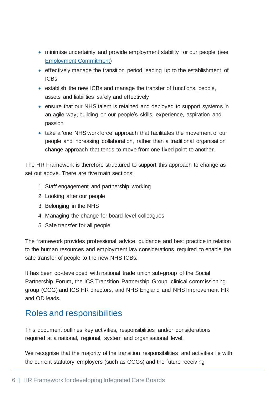- minimise uncertainty and provide employment stability for our people (see [Employment Commitment\)](https://www.england.nhs.uk/wp-content/uploads/2021/06/B0724-employment-commitment-guidance-supporting-ics-v1.pdf)
- effectively manage the transition period leading up to the establishment of ICBs
- establish the new ICBs and manage the transfer of functions, people, assets and liabilities safely and effectively
- ensure that our NHS talent is retained and deployed to support systems in an agile way, building on our people's skills, experience, aspiration and passion
- take a 'one NHS workforce' approach that facilitates the movement of our people and increasing collaboration, rather than a traditional organisation change approach that tends to move from one fixed point to another.

The HR Framework is therefore structured to support this approach to change as set out above. There are five main sections:

- 1. Staff engagement and partnership working
- 2. Looking after our people
- 3. Belonging in the NHS
- 4. Managing the change for board-level colleagues
- 5. Safe transfer for all people

The framework provides professional advice, guidance and best practice in relation to the human resources and employment law considerations required to enable the safe transfer of people to the new NHS ICBs.

It has been co-developed with national trade union sub-group of the Social Partnership Forum, the ICS Transition Partnership Group, clinical commissioning group (CCG) and ICS HR directors, and NHS England and NHS Improvement HR and OD leads.

#### <span id="page-8-0"></span>Roles and responsibilities

This document outlines key activities, responsibilities and/or considerations required at a national, regional, system and organisational level.

We recognise that the majority of the transition responsibilities and activities lie with the current statutory employers (such as CCGs) and the future receiving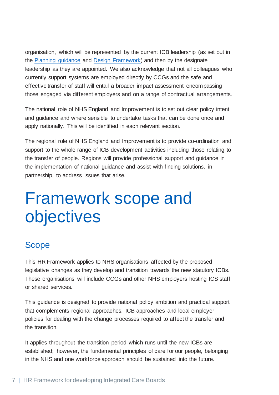organisation, which will be represented by the current ICB leadership (as set out in the [Planning guidance](https://www.england.nhs.uk/wp-content/uploads/2021/03/B0468-nhs-operational-planning-and-contracting-guidance.pdf) and [Design Framework\)](https://www.england.nhs.uk/wp-content/uploads/2021/06/B0642-ics-design-framework-june-2021.pdf) and then by the designate leadership as they are appointed. We also acknowledge that not all colleagues who currently support systems are employed directly by CCGs and the safe and effective transfer of staff will entail a broader impact assessment encompassing those engaged via different employers and on a range of contractual arrangements.

The national role of NHS England and Improvement is to set out clear policy intent and guidance and where sensible to undertake tasks that can be done once and apply nationally. This will be identified in each relevant section.

The regional role of NHS England and Improvement is to provide co-ordination and support to the whole range of ICB development activities including those relating to the transfer of people. Regions will provide professional support and guidance in the implementation of national guidance and assist with finding solutions, in partnership, to address issues that arise.

## <span id="page-9-0"></span>Framework scope and objectives

#### <span id="page-9-1"></span>Scope

This HR Framework applies to NHS organisations affected by the proposed legislative changes as they develop and transition towards the new statutory ICBs. These organisations will include CCGs and other NHS employers hosting ICS staff or shared services.

This guidance is designed to provide national policy ambition and practical support that complements regional approaches, ICB approaches and local employer policies for dealing with the change processes required to affect the transfer and the transition.

It applies throughout the transition period which runs until the new ICBs are established; however, the fundamental principles of care for our people, belonging in the NHS and one workforce approach should be sustained into the future.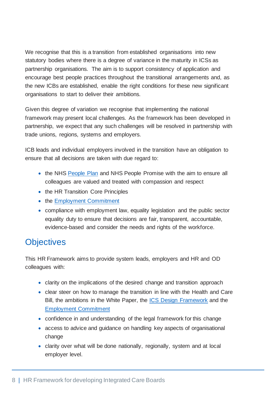We recognise that this is a transition from established organisations into new statutory bodies where there is a degree of variance in the maturity in ICSs as partnership organisations. The aim is to support consistency of application and encourage best people practices throughout the transitional arrangements and, as the new ICBs are established, enable the right conditions for these new significant organisations to start to deliver their ambitions.

Given this degree of variation we recognise that implementing the national framework may present local challenges. As the framework has been developed in partnership, we expect that any such challenges will be resolved in partnership with trade unions, regions, systems and employers.

ICB leads and individual employers involved in the transition have an obligation to ensure that all decisions are taken with due regard to:

- the NHS [People Plan](https://www.england.nhs.uk/ournhspeople/) and NHS People Promise with the aim to ensure all colleagues are valued and treated with compassion and respect
- the HR Transition Core Principles
- the [Employment Commitment](https://www.england.nhs.uk/wp-content/uploads/2021/06/B0724-employment-commitment-guidance-supporting-ics-v1.pdf)
- compliance with employment law, equality legislation and the public sector equality duty to ensure that decisions are fair, transparent, accountable, evidence-based and consider the needs and rights of the workforce.

#### <span id="page-10-0"></span>**Objectives**

This HR Framework aims to provide system leads, employers and HR and OD colleagues with:

- clarity on the implications of the desired change and transition approach
- clear steer on how to manage the transition in line with the Health and Care Bill, the ambitions in the White Paper, the **ICS Design Framework** and the [Employment Commitment](https://www.england.nhs.uk/wp-content/uploads/2021/06/B0724-employment-commitment-guidance-supporting-ics-v1.pdf)
- confidence in and understanding of the legal framework for this change
- access to advice and guidance on handling key aspects of organisational change
- clarity over what will be done nationally, regionally, system and at local employer level.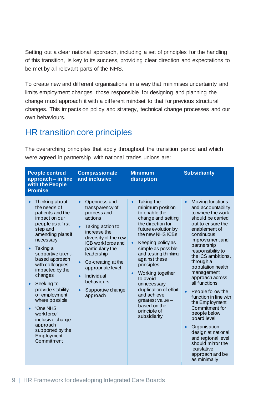Setting out a clear national approach, including a set of principles for the handling of this transition, is key to its success, providing clear direction and expectations to be met by all relevant parts of the NHS.

To create new and different organisations in a way that minimises uncertainty and limits employment changes, those responsible for designing and planning the change must approach it with a different mindset to that for previous structural changes. This impacts on policy and strategy, technical change processes and our own behaviours.

#### <span id="page-11-0"></span>HR transition core principles

The overarching principles that apply throughout the transition period and which were agreed in partnership with national trades unions are:

| <b>People centred</b><br>approach – in line<br>with the People<br><b>Promise</b>                                                                                                                                                                                                                                                                                                                                                                      | <b>Compassionate</b><br>and inclusive                                                                                                                                                                                                                                                                                                                 | <b>Minimum</b><br>disruption                                                                                                                                                                                                                                                                                                                                                                                                              | <b>Subsidiarity</b>                                                                                                                                                                                                                                                                                                                                                                                                                                                                                                                                                    |
|-------------------------------------------------------------------------------------------------------------------------------------------------------------------------------------------------------------------------------------------------------------------------------------------------------------------------------------------------------------------------------------------------------------------------------------------------------|-------------------------------------------------------------------------------------------------------------------------------------------------------------------------------------------------------------------------------------------------------------------------------------------------------------------------------------------------------|-------------------------------------------------------------------------------------------------------------------------------------------------------------------------------------------------------------------------------------------------------------------------------------------------------------------------------------------------------------------------------------------------------------------------------------------|------------------------------------------------------------------------------------------------------------------------------------------------------------------------------------------------------------------------------------------------------------------------------------------------------------------------------------------------------------------------------------------------------------------------------------------------------------------------------------------------------------------------------------------------------------------------|
| Thinking about<br>the needs of<br>patients and the<br>impact on our<br>people as a first<br>step and<br>amending plans if<br>necessary<br>Taking a<br>$\bullet$<br>supportive talent-<br>based approach<br>with colleagues<br>impacted by the<br>changes<br>Seeking to<br>$\bullet$<br>provide stability<br>of employment<br>where possible<br>'One NHS<br>workforce'<br>inclusive change<br>approach<br>supported by the<br>Employment<br>Commitment | Openness and<br>$\bullet$<br>transparency of<br>process and<br>actions<br>Taking action to<br>$\bullet$<br>increase the<br>diversity of the new<br>ICB workforce and<br>particularly the<br>leadership<br>Co-creating at the<br>$\bullet$<br>appropriate level<br>Individual<br>$\bullet$<br>behaviours<br>Supportive change<br>$\bullet$<br>approach | Taking the<br>$\bullet$<br>minimum position<br>to enable the<br>change and setting<br>the direction for<br>future evolution by<br>the new NHS ICBs<br>Keeping policy as<br>$\bullet$<br>simple as possible<br>and testing thinking<br>against these<br>principles<br>Working together<br>$\bullet$<br>to avoid<br>unnecessary<br>duplication of effort<br>and achieve<br>greatest value -<br>based on the<br>principle of<br>subsidiarity | Moving functions<br>and accountability<br>to where the work<br>should be carried<br>out to ensure the<br>enablement of<br>continuous<br>improvement and<br>partnership<br>responsibility to<br>the ICS ambitions,<br>through a<br>population health<br>management<br>approach across<br>all functions<br>People follow the<br>function in line with<br>the Employment<br>Commitment for<br>people below<br>board level<br>Organisation<br>$\bullet$<br>design at national<br>and regional level<br>should mirror the<br>legislative<br>approach and be<br>as minimally |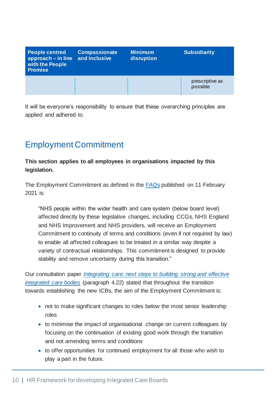| <b>People centred</b><br>$approach - in line$<br>with the People<br><b>Promise</b> | <b>Compassionate</b><br>and inclusive | <b>Minimum</b><br>disruption | <b>Subsidiarity</b>         |
|------------------------------------------------------------------------------------|---------------------------------------|------------------------------|-----------------------------|
|                                                                                    |                                       |                              | prescriptive as<br>possible |

It will be everyone's responsibility to ensure that these overarching principles are applied and adhered to.

### <span id="page-12-0"></span>Employment Commitment

#### **This section applies to all employees in organisations impacted by this legislation.**

The Employment Commitment as defined in the [FAQs](https://www.england.nhs.uk/wp-content/uploads/2021/02/C1127-faqs-on-ics-legislative-recommendations.pdf) published on 11 February 2021 is:

"NHS people within the wider health and care system (below board level) affected directly by these legislative changes, including CCGs, NHS England and NHS Improvement and NHS providers, will receive an Employment Commitment to continuity of terms and conditions (even if not required by law) to enable all affected colleagues to be treated in a similar way despite a variety of contractual relationships. This commitment is designed to provide stability and remove uncertainty during this transition."

Our consultation paper *[Integrating care: next steps to building strong and effective](https://www.england.nhs.uk/wp-content/uploads/2021/01/integrating-care-next-steps-to-building-strong-and-effective-integrated-care-systems.pdf)  [integrated care bodies](https://www.england.nhs.uk/wp-content/uploads/2021/01/integrating-care-next-steps-to-building-strong-and-effective-integrated-care-systems.pdf)* (paragraph 4.22) stated that throughout the transition towards establishing the new ICBs, the aim of the Employment Commitment is:

- not to make significant changes to roles below the most senior leadership roles
- to minimise the impact of organisational change on current colleagues by focusing on the continuation of existing good work through the transition and not amending terms and conditions
- to offer opportunities for continued employment for all those who wish to play a part in the future.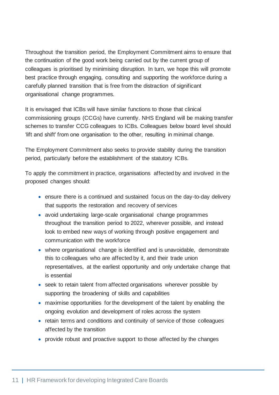Throughout the transition period, the Employment Commitment aims to ensure that the continuation of the good work being carried out by the current group of colleagues is prioritised by minimising disruption. In turn, we hope this will promote best practice through engaging, consulting and supporting the workforce during a carefully planned transition that is free from the distraction of significant organisational change programmes.

It is envisaged that ICBs will have similar functions to those that clinical commissioning groups (CCGs) have currently. NHS England will be making transfer schemes to transfer CCG colleagues to ICBs. Colleagues below board level should 'lift and shift' from one organisation to the other, resulting in minimal change.

The Employment Commitment also seeks to provide stability during the transition period, particularly before the establishment of the statutory ICBs.

To apply the commitment in practice, organisations affected by and involved in the proposed changes should:

- ensure there is a continued and sustained focus on the day-to-day delivery that supports the restoration and recovery of services
- avoid undertaking large-scale organisational change programmes throughout the transition period to 2022, wherever possible, and instead look to embed new ways of working through positive engagement and communication with the workforce
- where organisational change is identified and is unavoidable, demonstrate this to colleagues who are affected by it, and their trade union representatives, at the earliest opportunity and only undertake change that is essential
- seek to retain talent from affected organisations wherever possible by supporting the broadening of skills and capabilities
- maximise opportunities for the development of the talent by enabling the ongoing evolution and development of roles across the system
- retain terms and conditions and continuity of service of those colleagues affected by the transition
- provide robust and proactive support to those affected by the changes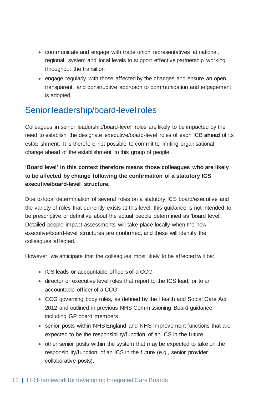- communicate and engage with trade union representatives at national, regional, system and local levels to support effective partnership working throughout the transition
- engage regularly with those affected by the changes and ensure an open, transparent, and constructive approach to communication and engagement is adopted.

#### Senior leadership/board-level roles

Colleagues in senior leadership/board-level roles are likely to be impacted by the need to establish the designate executive/board-level roles of each ICB **ahead** of its establishment. It is therefore not possible to commit to limiting organisational change ahead of the establishment to this group of people.

#### **'Board level' in this context therefore means those colleagues who are likely to be affected by change following the confirmation of a statutory ICS executive/board-level structure.**

Due to local determination of several roles on a statutory ICS board/executive and the variety of roles that currently exists at this level, this guidance is not intended to be prescriptive or definitive about the actual people determined as 'board level'. Detailed people impact assessments will take place locally when the new executive/board-level structures are confirmed, and these will identify the colleagues affected.

However, we anticipate that the colleagues most likely to be affected will be:

- ICS leads or accountable officers of a CCG
- director or executive level roles that report to the ICS lead, or to an accountable officer of a CCG
- CCG governing body roles, as defined by the Health and Social Care Act 2012 and outlined in previous NHS Commissioning Board guidance including GP board members
- senior posts within NHS England and NHS Improvement functions that are expected to be the responsibility/function of an ICS in the future
- other senior posts within the system that may be expected to take on the responsibility/function of an ICS in the future (e.g., senior provider collaborative posts).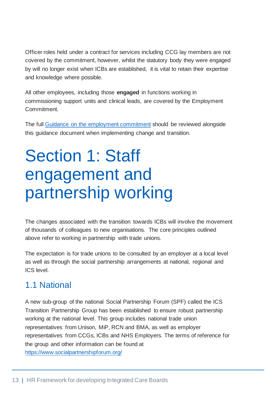Officer roles held under a contract for services including CCG lay members are not covered by the commitment, however, whilst the statutory body they were engaged by will no longer exist when ICBs are established, it is vital to retain their expertise and knowledge where possible.

All other employees, including those **engaged** in functions working in commissioning support units and clinical leads, are covered by the Employment Commitment.

The full [Guidance on the employment commitment](https://www.england.nhs.uk/wp-content/uploads/2021/06/B0724-employment-commitment-guidance-supporting-ics-v1.pdf) should be reviewed alongside this guidance document when implementing change and transition.

## <span id="page-15-0"></span>Section 1: Staff engagement and partnership working

The changes associated with the transition towards ICBs will involve the movement of thousands of colleagues to new organisations. The core principles outlined above refer to working in partnership with trade unions.

The expectation is for trade unions to be consulted by an employer at a local level as well as through the social partnership arrangements at national, regional and ICS level.

#### <span id="page-15-1"></span>1.1 National

A new sub-group of the national Social Partnership Forum (SPF) called the ICS Transition Partnership Group has been established to ensure robust partnership working at the national level. This group includes national trade union representatives from Unison, MiP, RCN and BMA, as well as employer representatives from CCGs, ICBs and NHS Employers. The terms of reference for the group and other information can be found at <https://www.socialpartnershipforum.org/>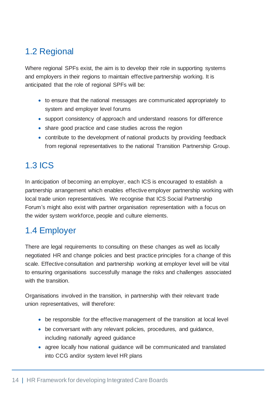## <span id="page-16-0"></span>1.2 Regional

Where regional SPFs exist, the aim is to develop their role in supporting systems and employers in their regions to maintain effective partnership working. It is anticipated that the role of regional SPFs will be:

- to ensure that the national messages are communicated appropriately to system and employer level forums
- support consistency of approach and understand reasons for difference
- share good practice and case studies across the region
- contribute to the development of national products by providing feedback from regional representatives to the national Transition Partnership Group.

## <span id="page-16-1"></span>1.3 ICS

In anticipation of becoming an employer, each ICS is encouraged to establish a partnership arrangement which enables effective employer partnership working with local trade union representatives. We recognise that ICS Social Partnership Forum's might also exist with partner organisation representation with a focus on the wider system workforce, people and culture elements.

### <span id="page-16-2"></span>1.4 Employer

There are legal requirements to consulting on these changes as well as locally negotiated HR and change policies and best practice principles for a change of this scale. Effective consultation and partnership working at employer level will be vital to ensuring organisations successfully manage the risks and challenges associated with the transition.

Organisations involved in the transition, in partnership with their relevant trade union representatives, will therefore:

- be responsible for the effective management of the transition at local level
- be conversant with any relevant policies, procedures, and guidance, including nationally agreed guidance
- agree locally how national guidance will be communicated and translated into CCG and/or system level HR plans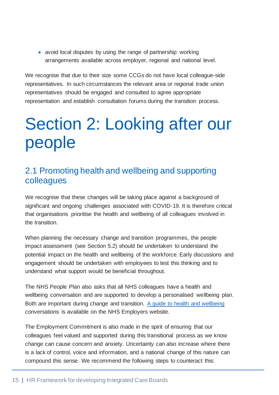• avoid local disputes by using the range of partnership working arrangements available across employer, regional and national level.

We recognise that due to their size some CCGs do not have local colleague-side representatives. In such circumstances the relevant area or regional trade union representatives should be engaged and consulted to agree appropriate representation and establish consultation forums during the transition process.

## <span id="page-17-0"></span>Section 2: Looking after our people

#### <span id="page-17-1"></span>2.1 Promoting health and wellbeing and supporting colleagues

We recognise that these changes will be taking place against a background of significant and ongoing challenges associated with COVID-19. It is therefore critical that organisations prioritise the health and wellbeing of all colleagues involved in the transition.

When planning the necessary change and transition programmes, the people impact assessment (see Section 5.2) should be undertaken to understand the potential impact on the health and wellbeing of the workforce. Early discussions and engagement should be undertaken with employees to test this thinking and to understand what support would be beneficial throughout.

The NHS People Plan also asks that all NHS colleagues have a health and wellbeing conversation and are supported to develop a personalised wellbeing plan. Both are important during change and transition. [A guide to health and wellbeing](https://www.nhsemployers.org/articles/health-and-wellbeing-conversations) conversations is available on the NHS Employers website.

The Employment Commitment is also made in the spirit of ensuring that our colleagues feel valued and supported during this transitional process as we know change can cause concern and anxiety. Uncertainty can also increase where there is a lack of control, voice and information, and a national change of this nature can compound this sense. We recommend the following steps to counteract this: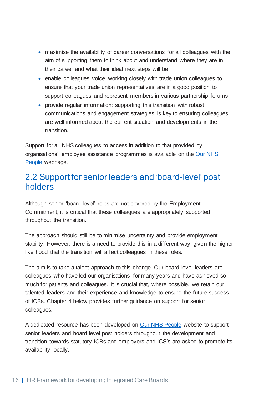- maximise the availability of career conversations for all colleagues with the aim of supporting them to think about and understand where they are in their career and what their ideal next steps will be
- enable colleagues voice, working closely with trade union colleagues to ensure that your trade union representatives are in a good position to support colleagues and represent members in various partnership forums
- provide regular information: supporting this transition with robust communications and engagement strategies is key to ensuring colleagues are well informed about the current situation and developments in the transition.

Support for all NHS colleagues to access in addition to that provided by organisations' employee assistance programmes is available on the [Our NHS](https://people.nhs.uk/)  [People](https://people.nhs.uk/) webpage.

#### <span id="page-18-0"></span>2.2 Support for senior leaders and 'board-level' post holders

Although senior 'board-level' roles are not covered by the Employment Commitment, it is critical that these colleagues are appropriately supported throughout the transition.

The approach should still be to minimise uncertainty and provide employment stability. However, there is a need to provide this in a different way, given the higher likelihood that the transition will affect colleagues in these roles.

The aim is to take a talent approach to this change. Our board-level leaders are colleagues who have led our organisations for many years and have achieved so much for patients and colleagues. It is crucial that, where possible, we retain our talented leaders and their experience and knowledge to ensure the future success of ICBs. Chapter 4 below provides further guidance on support for senior colleagues.

A dedicated resource has been developed on [Our NHS People](https://people.nhs.uk/senior-and-board-level-support-package/) website to support senior leaders and board level post holders throughout the development and transition towards statutory ICBs and employers and ICS's are asked to promote its availability locally.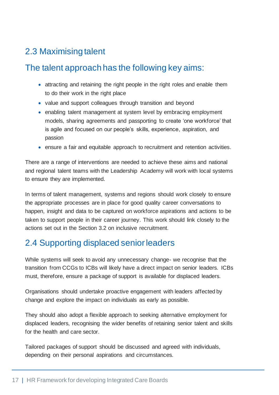## <span id="page-19-0"></span>2.3 Maximising talent

#### The talent approach has the following key aims:

- attracting and retaining the right people in the right roles and enable them to do their work in the right place
- value and support colleagues through transition and beyond
- enabling talent management at system level by embracing employment models, sharing agreements and passporting to create 'one workforce' that is agile and focused on our people's skills, experience, aspiration, and passion
- ensure a fair and equitable approach to recruitment and retention activities.

There are a range of interventions are needed to achieve these aims and national and regional talent teams with the Leadership Academy will work with local systems to ensure they are implemented.

In terms of talent management, systems and regions should work closely to ensure the appropriate processes are in place for good quality career conversations to happen, insight and data to be captured on workforce aspirations and actions to be taken to support people in their career journey. This work should link closely to the actions set out in the Section 3.2 on inclusive recruitment.

### <span id="page-19-1"></span>2.4 Supporting displaced senior leaders

While systems will seek to avoid any unnecessary change- we recognise that the transition from CCGs to ICBs will likely have a direct impact on senior leaders. ICBs must, therefore, ensure a package of support is available for displaced leaders.

Organisations should undertake proactive engagement with leaders affected by change and explore the impact on individuals as early as possible.

They should also adopt a flexible approach to seeking alternative employment for displaced leaders, recognising the wider benefits of retaining senior talent and skills for the health and care sector.

Tailored packages of support should be discussed and agreed with individuals, depending on their personal aspirations and circumstances.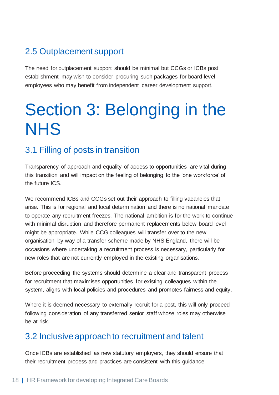## <span id="page-20-0"></span>2.5 Outplacement support

The need for outplacement support should be minimal but CCGs or ICBs post establishment may wish to consider procuring such packages for board-level employees who may benefit from independent career development support.

# <span id="page-20-1"></span>Section 3: Belonging in the NHS

### <span id="page-20-2"></span>3.1 Filling of posts in transition

Transparency of approach and equality of access to opportunities are vital during this transition and will impact on the feeling of belonging to the 'one workforce' of the future ICS.

We recommend ICBs and CCGs set out their approach to filling vacancies that arise. This is for regional and local determination and there is no national mandate to operate any recruitment freezes. The national ambition is for the work to continue with minimal disruption and therefore permanent replacements below board level might be appropriate. While CCG colleagues will transfer over to the new organisation by way of a transfer scheme made by NHS England, there will be occasions where undertaking a recruitment process is necessary, particularly for new roles that are not currently employed in the existing organisations.

Before proceeding the systems should determine a clear and transparent process for recruitment that maximises opportunities for existing colleagues within the system, aligns with local policies and procedures and promotes fairness and equity.

Where it is deemed necessary to externally recruit for a post, this will only proceed following consideration of any transferred senior staff whose roles may otherwise be at risk.

#### <span id="page-20-3"></span>3.2 Inclusive approach to recruitment and talent

Once ICBs are established as new statutory employers, they should ensure that their recruitment process and practices are consistent with this guidance.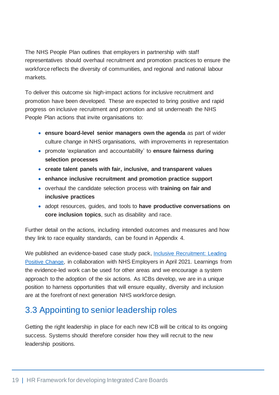The NHS People Plan outlines that employers in partnership with staff representatives should overhaul recruitment and promotion practices to ensure the workforce reflects the diversity of communities, and regional and national labour markets.

To deliver this outcome six high-impact actions for inclusive recruitment and promotion have been developed. These are expected to bring positive and rapid progress on inclusive recruitment and promotion and sit underneath the NHS People Plan actions that invite organisations to:

- **ensure board-level senior managers own the agenda** as part of wider culture change in NHS organisations, with improvements in representation
- promote 'explanation and accountability' to **ensure fairness during selection processes**
- **create talent panels with fair, inclusive, and transparent values**
- **enhance inclusive recruitment and promotion practice support**
- overhaul the candidate selection process with **training on fair and inclusive practices**
- adopt resources, guides, and tools to **have productive conversations on core inclusion topics**, such as disability and race.

Further detail on the actions, including intended outcomes and measures and how they link to race equality standards, can be found in Appendix 4.

We published an evidence-based case study pack, Inclusive Recruitment: Leading [Positive Change,](https://www.nhsemployers.org/sites/default/files/media/Inclusive-recruitment-leading-positive-change_0.pdf) in collaboration with NHS Employers in April 2021. Learnings from the evidence-led work can be used for other areas and we encourage a system approach to the adoption of the six actions. As ICBs develop, we are in a unique position to harness opportunities that will ensure equality, diversity and inclusion are at the forefront of next generation NHS workforce design.

### <span id="page-21-0"></span>3.3 Appointing to senior leadership roles

Getting the right leadership in place for each new ICB will be critical to its ongoing success. Systems should therefore consider how they will recruit to the new leadership positions.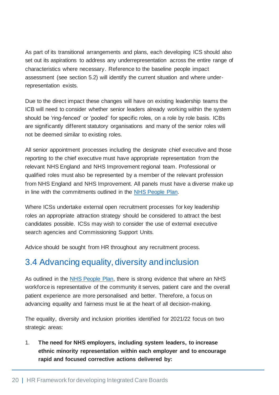As part of its transitional arrangements and plans, each developing ICS should also set out its aspirations to address any underrepresentation across the entire range of characteristics where necessary. Reference to the baseline people impact assessment (see section 5.2) will identify the current situation and where underrepresentation exists.

Due to the direct impact these changes will have on existing leadership teams the ICB will need to consider whether senior leaders already working within the system should be 'ring-fenced' or 'pooled' for specific roles, on a role by role basis. ICBs are significantly different statutory organisations and many of the senior roles will not be deemed similar to existing roles.

All senior appointment processes including the designate chief executive and those reporting to the chief executive must have appropriate representation from the relevant NHS England and NHS Improvement regional team. Professional or qualified roles must also be represented by a member of the relevant profession from NHS England and NHS Improvement. All panels must have a diverse make up in line with the commitments outlined in the [NHS People Plan.](https://www.england.nhs.uk/wp-content/uploads/2020/07/We-Are-The-NHS-Action-For-All-Of-Us-FINAL-March-21.pdf)

Where ICSs undertake external open recruitment processes for key leadership roles an appropriate attraction strategy should be considered to attract the best candidates possible. ICSs may wish to consider the use of external executive search agencies and Commissioning Support Units.

Advice should be sought from HR throughout any recruitment process.

#### <span id="page-22-0"></span>3.4 Advancing equality, diversity and inclusion

As outlined in the [NHS People Plan,](https://www.england.nhs.uk/wp-content/uploads/2020/07/We-Are-The-NHS-Action-For-All-Of-Us-FINAL-March-21.pdf) there is strong evidence that where an NHS workforce is representative of the community it serves, patient care and the overall patient experience are more personalised and better. Therefore, a focus on advancing equality and fairness must lie at the heart of all decision-making.

The equality, diversity and inclusion priorities identified for 2021/22 focus on two strategic areas:

1. **The need for NHS employers, including system leaders, to increase ethnic minority representation within each employer and to encourage rapid and focused corrective actions delivered by:**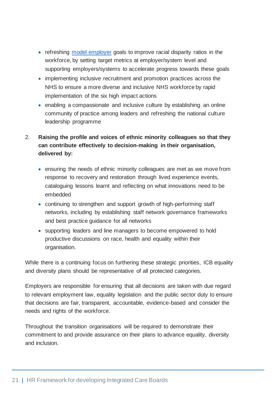- refreshing [model employer](https://www.england.nhs.uk/wp-content/uploads/2019/01/wres-leadership-strategy.pdf) goals to improve racial disparity ratios in the workforce, by setting target metrics at employer/system level and supporting employers/systems to accelerate progress towards these goals
- implementing inclusive recruitment and promotion practices across the NHS to ensure a more diverse and inclusive NHS workforce by rapid implementation of the six high impact actions
- enabling a compassionate and inclusive culture by establishing an online community of practice among leaders and refreshing the national culture leadership programme
- 2. **Raising the profile and voices of ethnic minority colleagues so that they can contribute effectively to decision-making in their organisation, delivered by:**
	- ensuring the needs of ethnic minority colleagues are met as we move from response to recovery and restoration through lived experience events, cataloguing lessons learnt and reflecting on what innovations need to be embedded
	- continuing to strengthen and support growth of high-performing staff networks, including by establishing staff network governance frameworks and best practice guidance for all networks
	- supporting leaders and line managers to become empowered to hold productive discussions on race, health and equality within their organisation.

While there is a continuing focus on furthering these strategic priorities, ICB equality and diversity plans should be representative of all protected categories.

Employers are responsible for ensuring that all decisions are taken with due regard to relevant employment law, equality legislation and the public sector duty to ensure that decisions are fair, transparent, accountable, evidence-based and consider the needs and rights of the workforce.

Throughout the transition organisations will be required to demonstrate their commitment to and provide assurance on their plans to advance equality, diversity and inclusion.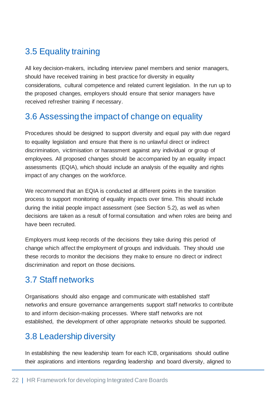## <span id="page-24-0"></span>3.5 Equality training

All key decision-makers, including interview panel members and senior managers, should have received training in best practice for diversity in equality considerations, cultural competence and related current legislation. In the run up to the proposed changes, employers should ensure that senior managers have received refresher training if necessary.

#### <span id="page-24-1"></span>3.6 Assessing the impact of change on equality

Procedures should be designed to support diversity and equal pay with due regard to equality legislation and ensure that there is no unlawful direct or indirect discrimination, victimisation or harassment against any individual or group of employees. All proposed changes should be accompanied by an equality impact assessments (EQIA), which should include an analysis of the equality and rights impact of any changes on the workforce.

We recommend that an EQIA is conducted at different points in the transition process to support monitoring of equality impacts over time. This should include during the initial people impact assessment (see Section 5.2), as well as when decisions are taken as a result of formal consultation and when roles are being and have been recruited.

Employers must keep records of the decisions they take during this period of change which affect the employment of groups and individuals. They should use these records to monitor the decisions they make to ensure no direct or indirect discrimination and report on those decisions.

### <span id="page-24-2"></span>3.7 Staff networks

Organisations should also engage and communicate with established staff networks and ensure governance arrangements support staff networks to contribute to and inform decision-making processes. Where staff networks are not established, the development of other appropriate networks should be supported.

### <span id="page-24-3"></span>3.8 Leadership diversity

In establishing the new leadership team for each ICB, organisations should outline their aspirations and intentions regarding leadership and board diversity, aligned to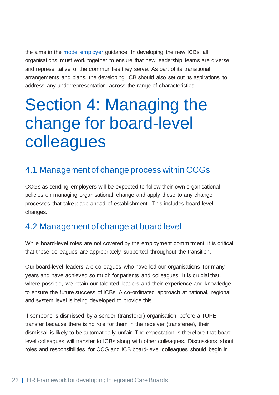the aims in the [model employer](https://www.england.nhs.uk/wp-content/uploads/2019/01/wres-leadership-strategy.pdf) guidance. In developing the new ICBs, all organisations must work together to ensure that new leadership teams are diverse and representative of the communities they serve. As part of its transitional arrangements and plans, the developing ICB should also set out its aspirations to address any underrepresentation across the range of characteristics.

## <span id="page-25-0"></span>Section 4: Managing the change for board-level colleagues

#### <span id="page-25-1"></span>4.1 Management of change process within CCGs

CCGs as sending employers will be expected to follow their own organisational policies on managing organisational change and apply these to any change processes that take place ahead of establishment. This includes board-level changes.

#### <span id="page-25-2"></span>4.2 Management of change at board level

While board-level roles are not covered by the employment commitment, it is critical that these colleagues are appropriately supported throughout the transition.

Our board-level leaders are colleagues who have led our organisations for many years and have achieved so much for patients and colleagues. It is crucial that, where possible, we retain our talented leaders and their experience and knowledge to ensure the future success of ICBs. A co-ordinated approach at national, regional and system level is being developed to provide this.

If someone is dismissed by a sender (transferor) organisation before a TUPE transfer because there is no role for them in the receiver (transferee), their dismissal is likely to be automatically unfair. The expectation is therefore that boardlevel colleagues will transfer to ICBs along with other colleagues. Discussions about roles and responsibilities for CCG and ICB board-level colleagues should begin in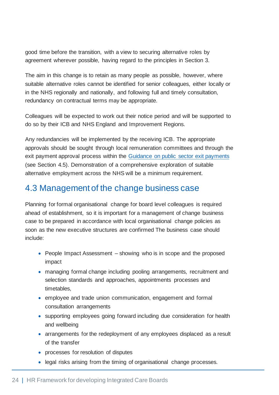good time before the transition, with a view to securing alternative roles by agreement wherever possible, having regard to the principles in Section 3.

The aim in this change is to retain as many people as possible, however, where suitable alternative roles cannot be identified for senior colleagues, either locally or in the NHS regionally and nationally, and following full and timely consultation, redundancy on contractual terms may be appropriate.

Colleagues will be expected to work out their notice period and will be supported to do so by their ICB and NHS England and Improvement Regions.

Any redundancies will be implemented by the receiving ICB. The appropriate approvals should be sought through local remuneration committees and through the exit payment approval process within the [Guidance on public sector exit payments](https://assets.publishing.service.gov.uk/government/uploads/system/uploads/attachment_data/file/989770/SPECIAL_SEVERANCE_GUIDANCE_v3_FINAL.pdf?mkt_tok=OTM2LUZSWi03MTkAAAF9nZIdA-yfEnvdL7v9PJQ0UBqd_2HWTQOfScfP2kfebWYEeQtmYH24WuRFmBF3ty47UwRl4SPuMAwJNDHLMSBH-H22vsZBKI9RMYHSpCmOyMAsDg) (see Section 4.5). Demonstration of a comprehensive exploration of suitable alternative employment across the NHS will be a minimum requirement.

#### <span id="page-26-0"></span>4.3 Management of the change business case

Planning for formal organisational change for board level colleagues is required ahead of establishment, so it is important for a management of change business case to be prepared in accordance with local organisational change policies as soon as the new executive structures are confirmed The business case should include:

- People Impact Assessment showing who is in scope and the proposed impact
- managing formal change including pooling arrangements, recruitment and selection standards and approaches, appointments processes and timetables,
- employee and trade union communication, engagement and formal consultation arrangements
- supporting employees going forward including due consideration for health and wellbeing
- arrangements for the redeployment of any employees displaced as a result of the transfer
- processes for resolution of disputes
- legal risks arising from the timing of organisational change processes.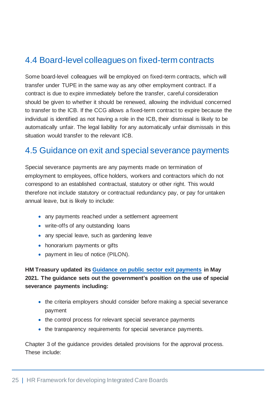#### <span id="page-27-0"></span>4.4 Board-level colleagues on fixed-term contracts

Some board-level colleagues will be employed on fixed-term contracts, which will transfer under TUPE in the same way as any other employment contract. If a contract is due to expire immediately before the transfer, careful consideration should be given to whether it should be renewed, allowing the individual concerned to transfer to the ICB. If the CCG allows a fixed-term contract to expire because the individual is identified as not having a role in the ICB, their dismissal is likely to be automatically unfair. The legal liability for any automatically unfair dismissals in this situation would transfer to the relevant ICB.

#### <span id="page-27-1"></span>4.5 Guidance on exit and special severance payments

Special severance payments are any payments made on termination of employment to employees, office holders, workers and contractors which do not correspond to an established contractual, statutory or other right. This would therefore not include statutory or contractual redundancy pay, or pay for untaken annual leave, but is likely to include:

- any payments reached under a settlement agreement
- write-offs of any outstanding loans
- any special leave, such as gardening leave
- honorarium payments or gifts
- payment in lieu of notice (PILON).

**HM Treasury updated its [Guidance on public sector exit payments](https://assets.publishing.service.gov.uk/government/uploads/system/uploads/attachment_data/file/989770/SPECIAL_SEVERANCE_GUIDANCE_v3_FINAL.pdf?mkt_tok=OTM2LUZSWi03MTkAAAF9nZIdA-yfEnvdL7v9PJQ0UBqd_2HWTQOfScfP2kfebWYEeQtmYH24WuRFmBF3ty47UwRl4SPuMAwJNDHLMSBH-H22vsZBKI9RMYHSpCmOyMAsDg) in May 2021. The guidance sets out the government's position on the use of special severance payments including:**

- the criteria employers should consider before making a special severance payment
- the control process for relevant special severance payments
- the transparency requirements for special severance payments.

Chapter 3 of the guidance provides detailed provisions for the approval process. These include: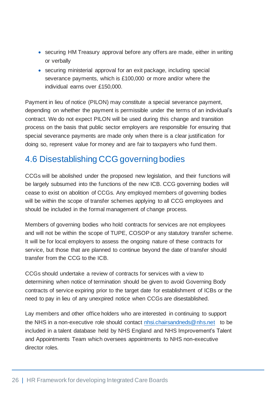- securing HM Treasury approval before any offers are made, either in writing or verbally
- securing ministerial approval for an exit package, including special severance payments, which is £100,000 or more and/or where the individual earns over £150,000.

Payment in lieu of notice (PILON) may constitute a special severance payment, depending on whether the payment is permissible under the terms of an individual's contract. We do not expect PILON will be used during this change and transition process on the basis that public sector employers are responsible for ensuring that special severance payments are made only when there is a clear justification for doing so, represent value for money and are fair to taxpayers who fund them.

#### <span id="page-28-0"></span>4.6 Disestablishing CCG governing bodies

CCGs will be abolished under the proposed new legislation, and their functions will be largely subsumed into the functions of the new ICB. CCG governing bodies will cease to exist on abolition of CCGs. Any employed members of governing bodies will be within the scope of transfer schemes applying to all CCG employees and should be included in the formal management of change process.

Members of governing bodies who hold contracts for services are not employees and will not be within the scope of TUPE, COSOP or any statutory transfer scheme. It will be for local employers to assess the ongoing nature of these contracts for service, but those that are planned to continue beyond the date of transfer should transfer from the CCG to the ICB.

CCGs should undertake a review of contracts for services with a view to determining when notice of termination should be given to avoid Governing Body contracts of service expiring prior to the target date for establishment of ICBs or the need to pay in lieu of any unexpired notice when CCGs are disestablished.

Lay members and other office holders who are interested in continuing to support the NHS in a non-executive role should contact [nhsi.chairsandneds@nhs.net](mailto:nhsi.chairsandneds@nhs.net) to be included in a talent database held by NHS England and NHS Improvement's Talent and Appointments Team which oversees appointments to NHS non-executive director roles.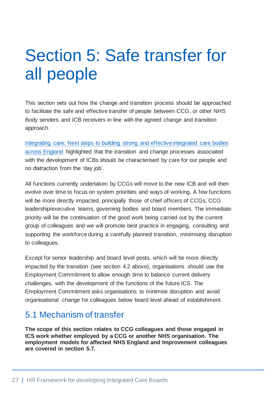# <span id="page-29-0"></span>Section 5: Safe transfer for all people

This section sets out how the change and transition process should be approached to facilitate the safe and effective transfer of people between CCG, or other NHS Body senders and ICB receivers in line with the agreed change and transition approach.

[Integrating care: Next steps to building strong and effective integrated care bodies](https://www.england.nhs.uk/wp-content/uploads/2021/01/integrating-care-next-steps-to-building-strong-and-effective-integrated-care-systems.pdf)  [across England](https://www.england.nhs.uk/wp-content/uploads/2021/01/integrating-care-next-steps-to-building-strong-and-effective-integrated-care-systems.pdf) highlighted that the transition and change processes associated with the development of ICBs should be characterised by care for our people and no distraction from the 'day job'.

All functions currently undertaken by CCGs will move to the new ICB and will then evolve over time to focus on system priorities and ways of working. A few functions will be more directly impacted, principally those of chief officers of CCGs, CCG leadership/executive teams, governing bodies and board members. The immediate priority will be the continuation of the good work being carried out by the current group of colleagues and we will promote best practice in engaging, consulting and supporting the workforce during a carefully planned transition, minimising disruption to colleagues.

Except for senior leadership and board level posts, which will be more directly impacted by the transition (see section 4.2 above), organisations should use the Employment Commitment to allow enough time to balance current delivery challenges, with the development of the functions of the future ICS. The Employment Commitment asks organisations to minimise disruption and avoid organisational change for colleagues below board level ahead of establishment.

#### <span id="page-29-1"></span>5.1 Mechanism of transfer

**The scope of this section relates to CCG colleagues and those engaged in ICS work whether employed by a CCG or another NHS organisation. The employment models for affected NHS England and Improvement colleagues are covered in section 5.7.**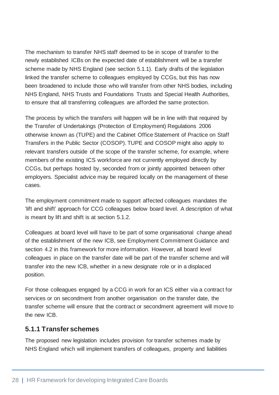The mechanism to transfer NHS staff deemed to be in scope of transfer to the newly established ICBs on the expected date of establishment will be a transfer scheme made by NHS England (see section 5.1.1). Early drafts of the legislation linked the transfer scheme to colleagues employed by CCGs, but this has now been broadened to include those who will transfer from other NHS bodies, including NHS England, NHS Trusts and Foundations Trusts and Special Health Authorities, to ensure that all transferring colleagues are afforded the same protection.

The process by which the transfers will happen will be in line with that required by the Transfer of Undertakings (Protection of Employment) Regulations 2006 otherwise known as (TUPE) and the Cabinet Office Statement of Practice on Staff Transfers in the Public Sector (COSOP). TUPE and COSOP might also apply to relevant transfers outside of the scope of the transfer scheme, for example, where members of the existing ICS workforce are not currently employed directly by CCGs, but perhaps hosted by, seconded from or jointly appointed between other employers. Specialist advice may be required locally on the management of these cases.

The employment commitment made to support affected colleagues mandates the 'lift and shift' approach for CCG colleagues below board level. A description of what is meant by lift and shift is at section 5.1.2.

Colleagues at board level will have to be part of some organisational change ahead of the establishment of the new ICB, see Employment Commitment Guidance and section 4.2 in this framework for more information. However, all board level colleagues in place on the transfer date will be part of the transfer scheme and will transfer into the new ICB, whether in a new designate role or in a displaced position.

For those colleagues engaged by a CCG in work for an ICS either via a contract for services or on secondment from another organisation on the transfer date, the transfer scheme will ensure that the contract or secondment agreement will move to the new ICB.

#### <span id="page-30-0"></span>**5.1.1 Transfer schemes**

The proposed new legislation includes provision for transfer schemes made by NHS England which will implement transfers of colleagues, property and liabilities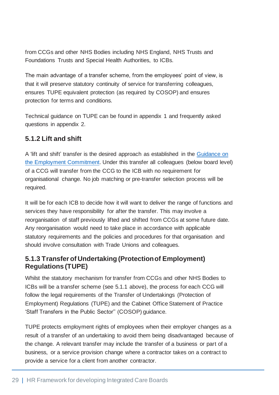from CCGs and other NHS Bodies including NHS England, NHS Trusts and Foundations Trusts and Special Health Authorities, to ICBs.

The main advantage of a transfer scheme, from the employees' point of view, is that it will preserve statutory continuity of service for transferring colleagues, ensures TUPE equivalent protection (as required by COSOP) and ensures protection for terms and conditions.

Technical guidance on TUPE can be found in appendix 1 and frequently asked questions in appendix 2.

#### <span id="page-31-0"></span>**5.1.2 Lift and shift**

A 'lift and shift' transfer is the desired approach as established in the [Guidance on](https://www.england.nhs.uk/wp-content/uploads/2021/06/B0724-employment-commitment-guidance-supporting-ics-v1.pdf)  [the Employment Commitment.](https://www.england.nhs.uk/wp-content/uploads/2021/06/B0724-employment-commitment-guidance-supporting-ics-v1.pdf) Under this transfer all colleagues (below board level) of a CCG will transfer from the CCG to the ICB with no requirement for organisational change. No job matching or pre-transfer selection process will be required.

It will be for each ICB to decide how it will want to deliver the range of functions and services they have responsibility for after the transfer. This may involve a reorganisation of staff previously lifted and shifted from CCGs at some future date. Any reorganisation would need to take place in accordance with applicable statutory requirements and the policies and procedures for that organisation and should involve consultation with Trade Unions and colleagues.

#### <span id="page-31-1"></span>**5.1.3 Transfer of Undertaking (Protection of Employment) Regulations (TUPE)**

Whilst the statutory mechanism for transfer from CCGs and other NHS Bodies to ICBs will be a transfer scheme (see 5.1.1 above), the process for each CCG will follow the legal requirements of the Transfer of Undertakings (Protection of Employment) Regulations (TUPE) and the Cabinet Office Statement of Practice 'Staff Transfers in the Public Sector'' (COSOP) guidance.

TUPE protects employment rights of employees when their employer changes as a result of a transfer of an undertaking to avoid them being disadvantaged because of the change. A relevant transfer may include the transfer of a business or part of a business, or a service provision change where a contractor takes on a contract to provide a service for a client from another contractor.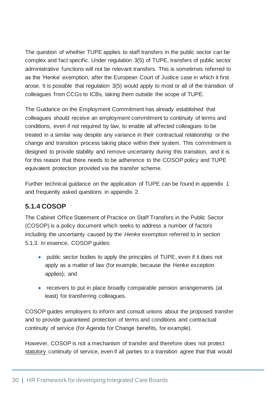The question of whether TUPE applies to staff transfers in the public sector can be complex and fact specific. Under regulation 3(5) of TUPE, transfers of public sector administrative functions will not be relevant transfers. This is sometimes referred to as the 'Henke' exemption, after the European Court of Justice case in which it first arose. It is possible that regulation 3(5) would apply to most or all of the transition of colleagues from CCGs to ICBs, taking them outside the scope of TUPE.

The Guidance on the Employment Commitment has already established that colleagues should receive an employment commitment to continuity of terms and conditions, even if not required by law, to enable all affected colleagues to be treated in a similar way despite any variance in their contractual relationship or the change and transition process taking place within their system. This commitment is designed to provide stability and remove uncertainty during this transition, and it is for this reason that there needs to be adherence to the COSOP policy and TUPE equivalent protection provided via the transfer scheme.

Further technical guidance on the application of TUPE can be found in appendix 1 and frequently asked questions in appendix 2.

#### <span id="page-32-0"></span>**5.1.4 COSOP**

The Cabinet Office Statement of Practice on Staff Transfers in the Public Sector (COSOP) is a policy document which seeks to address a number of factors including the uncertainty caused by the *Henke* exemption referred to in section 5.1.3. In essence, COSOP guides:

- public sector bodies to apply the principles of TUPE, even if it does not apply as a matter of law (for example, because the Henke exception applies); and
- receivers to put in place broadly comparable pension arrangements (at least) for transferring colleagues.

COSOP guides employers to inform and consult unions about the proposed transfer and to provide guaranteed protection of terms and conditions and contractual continuity of service (for Agenda for Change benefits, for example).

However, COSOP is not a mechanism of transfer and therefore does not protect statutory continuity of service, even if all parties to a transition agree that that would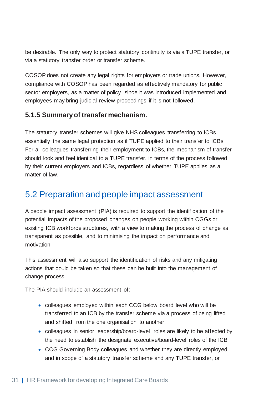be desirable. The only way to protect statutory continuity is via a TUPE transfer, or via a statutory transfer order or transfer scheme.

COSOP does not create any legal rights for employers or trade unions. However, compliance with COSOP has been regarded as effectively mandatory for public sector employers, as a matter of policy, since it was introduced implemented and employees may bring judicial review proceedings if it is not followed.

#### <span id="page-33-0"></span>**5.1.5 Summary of transfer mechanism.**

The statutory transfer schemes will give NHS colleagues transferring to ICBs essentially the same legal protection as if TUPE applied to their transfer to ICBs. For all colleagues transferring their employment to ICBs, the mechanism of transfer should look and feel identical to a TUPE transfer, in terms of the process followed by their current employers and ICBs, regardless of whether TUPE applies as a matter of law.

#### <span id="page-33-1"></span>5.2 Preparation and people impact assessment

A people impact assessment (PIA) is required to support the identification of the potential impacts of the proposed changes on people working within CGGs or existing ICB workforce structures, with a view to making the process of change as transparent as possible, and to minimising the impact on performance and motivation.

This assessment will also support the identification of risks and any mitigating actions that could be taken so that these can be built into the management of change process.

The PIA should include an assessment of:

- colleagues employed within each CCG below board level who will be transferred to an ICB by the transfer scheme via a process of being lifted and shifted from the one organisation to another
- colleagues in senior leadership/board-level roles are likely to be affected by the need to establish the designate executive/board-level roles of the ICB
- CCG Governing Body colleagues and whether they are directly employed and in scope of a statutory transfer scheme and any TUPE transfer, or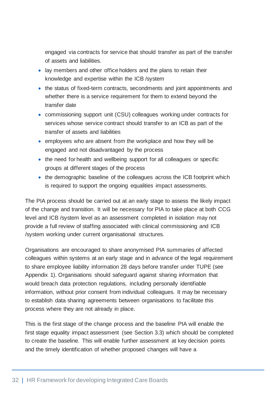engaged via contracts for service that should transfer as part of the transfer of assets and liabilities.

- lay members and other office holders and the plans to retain their knowledge and expertise within the ICB /system
- the status of fixed-term contracts, secondments and joint appointments and whether there is a service requirement for them to extend beyond the transfer date
- commissioning support unit (CSU) colleagues working under contracts for services whose service contract should transfer to an ICB as part of the transfer of assets and liabilities
- employees who are absent from the workplace and how they will be engaged and not disadvantaged by the process
- the need for health and wellbeing support for all colleagues or specific groups at different stages of the process
- the demographic baseline of the colleagues across the ICB footprint which is required to support the ongoing equalities impact assessments.

The PIA process should be carried out at an early stage to assess the likely impact of the change and transition. It will be necessary for PIA to take place at both CCG level and ICB /system level as an assessment completed in isolation may not provide a full review of staffing associated with clinical commissioning and ICB /system working under current organisational structures.

Organisations are encouraged to share anonymised PIA summaries of affected colleagues within systems at an early stage and in advance of the legal requirement to share employee liability information 28 days before transfer under TUPE (see Appendix 1). Organisations should safeguard against sharing information that would breach data protection regulations, including personally identifiable information, without prior consent from individual colleagues. It may be necessary to establish data sharing agreements between organisations to facilitate this process where they are not already in place.

This is the first stage of the change process and the baseline PIA will enable the first stage equality impact assessment (see Section 3.3) which should be completed to create the baseline. This will enable further assessment at key decision points and the timely identification of whether proposed changes will have a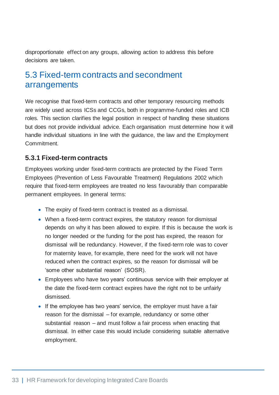disproportionate effect on any groups, allowing action to address this before decisions are taken.

#### <span id="page-35-0"></span>5.3 Fixed-term contracts and secondment arrangements

We recognise that fixed-term contracts and other temporary resourcing methods are widely used across ICSs and CCGs, both in programme-funded roles and ICB roles. This section clarifies the legal position in respect of handling these situations but does not provide individual advice. Each organisation must determine how it will handle individual situations in line with the guidance, the law and the Employment Commitment.

#### <span id="page-35-1"></span>**5.3.1 Fixed-term contracts**

Employees working under fixed-term contracts are protected by the Fixed Term Employees (Prevention of Less Favourable Treatment) Regulations 2002 which require that fixed-term employees are treated no less favourably than comparable permanent employees. In general terms:

- The expiry of fixed-term contract is treated as a dismissal.
- When a fixed-term contract expires, the statutory reason for dismissal depends on why it has been allowed to expire. If this is because the work is no longer needed or the funding for the post has expired, the reason for dismissal will be redundancy. However, if the fixed-term role was to cover for maternity leave, for example, there need for the work will not have reduced when the contract expires, so the reason for dismissal will be 'some other substantial reason' (SOSR).
- Employees who have two years' continuous service with their employer at the date the fixed-term contract expires have the right not to be unfairly dismissed.
- If the employee has two years' service, the employer must have a fair reason for the dismissal – for example, redundancy or some other substantial reason – and must follow a fair process when enacting that dismissal. In either case this would include considering suitable alternative employment.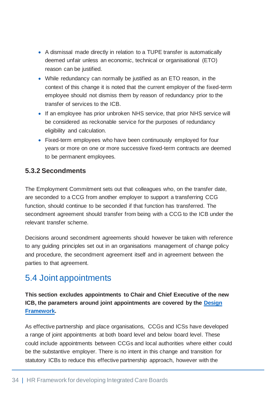- A dismissal made directly in relation to a TUPE transfer is automatically deemed unfair unless an economic, technical or organisational (ETO) reason can be justified.
- While redundancy can normally be justified as an ETO reason, in the context of this change it is noted that the current employer of the fixed-term employee should not dismiss them by reason of redundancy prior to the transfer of services to the ICB.
- If an employee has prior unbroken NHS service, that prior NHS service will be considered as reckonable service for the purposes of redundancy eligibility and calculation.
- Fixed-term employees who have been continuously employed for four years or more on one or more successive fixed-term contracts are deemed to be permanent employees.

#### <span id="page-36-0"></span>**5.3.2 Secondments**

The Employment Commitment sets out that colleagues who, on the transfer date, are seconded to a CCG from another employer to support a transferring CCG function, should continue to be seconded if that function has transferred. The secondment agreement should transfer from being with a CCG to the ICB under the relevant transfer scheme.

Decisions around secondment agreements should however be taken with reference to any guiding principles set out in an organisations management of change policy and procedure, the secondment agreement itself and in agreement between the parties to that agreement.

#### <span id="page-36-1"></span>5.4 Joint appointments

**This section excludes appointments to Chair and Chief Executive of the new ICB, the parameters around joint appointments are covered by the [Design](https://www.england.nhs.uk/wp-content/uploads/2021/06/B0642-ics-design-framework-june-2021.pdf)  [Framework.](https://www.england.nhs.uk/wp-content/uploads/2021/06/B0642-ics-design-framework-june-2021.pdf)**

As effective partnership and place organisations, CCGs and ICSs have developed a range of joint appointments at both board level and below board level. These could include appointments between CCGs and local authorities where either could be the substantive employer. There is no intent in this change and transition for statutory ICBs to reduce this effective partnership approach, however with the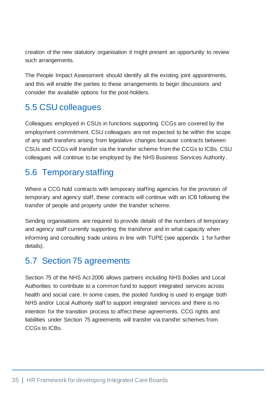creation of the new statutory organisation it might present an opportunity to review such arrangements.

The People Impact Assessment should identify all the existing joint appointments, and this will enable the parties to these arrangements to begin discussions and consider the available options for the post-holders.

#### <span id="page-37-0"></span>5.5 CSU colleagues

Colleagues employed in CSUs in functions supporting CCGs are covered by the employment commitment. CSU colleagues are not expected to be within the scope of any staff transfers arising from legislative changes because contracts between CSUs and CCGs will transfer via the transfer scheme from the CCGs to ICBs. CSU colleagues will continue to be employed by the NHS Business Services Authority.

#### <span id="page-37-1"></span>5.6 Temporary staffing

Where a CCG hold contracts with temporary staffing agencies for the provision of temporary and agency staff, these contracts will continue with an ICB following the transfer of people and property under the transfer scheme.

Sending organisations are required to provide details of the numbers of temporary and agency staff currently supporting the transferor and in what capacity when informing and consulting trade unions in line with TUPE (see appendix 1 for further details).

### <span id="page-37-2"></span>5.7 Section 75 agreements

Section 75 of the NHS Act 2006 allows partners including NHS Bodies and Local Authorities to contribute to a common fund to support integrated services across health and social care. In some cases, the pooled funding is used to engage both NHS and/or Local Authority staff to support integrated services and there is no intention for the transition process to affect these agreements. CCG rights and liabilities under Section 75 agreements will transfer via transfer schemes from CCGs to ICBs.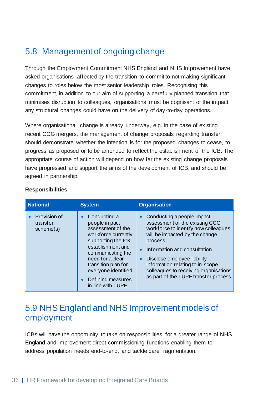### <span id="page-38-0"></span>5.8 Management of ongoing change

Through the Employment Commitment NHS England and NHS Improvement have asked organisations affected by the transition to commit to not making significant changes to roles below the most senior leadership roles. Recognising this commitment, in addition to our aim of supporting a carefully planned transition that minimises disruption to colleagues, organisations must be cognisant of the impact any structural changes could have on the delivery of day-to-day operations.

Where organisational change is already underway, e.g. in the case of existing recent CCG mergers, the management of change proposals regarding transfer should demonstrate whether the intention is for the proposed changes to cease, to progress as proposed or to be amended to reflect the establishment of the ICB. The appropriate course of action will depend on how far the existing change proposals have progressed and support the aims of the development of ICB, and should be agreed in partnership.

| <b>National</b>                       | <b>System</b>                                                                                                                                                                                                                                                                   | <b>Organisation</b>                                                                                                                                                                                                                                                                                                                                             |
|---------------------------------------|---------------------------------------------------------------------------------------------------------------------------------------------------------------------------------------------------------------------------------------------------------------------------------|-----------------------------------------------------------------------------------------------------------------------------------------------------------------------------------------------------------------------------------------------------------------------------------------------------------------------------------------------------------------|
| Provision of<br>transfer<br>scheme(s) | Conducting a<br>$\bullet$<br>people impact<br>assessment of the<br>workforce currently<br>supporting the ICB<br>establishment and<br>communicating the<br>need for a clear<br>transition plan for<br>everyone identified<br>Defining measures<br>$\bullet$<br>in line with TUPE | Conducting a people impact<br>assessment of the existing CCG<br>workforce to identify how colleagues<br>will be impacted by the change<br>process<br>Information and consultation<br>$\bullet$<br>Disclose employee liability<br>$\bullet$<br>information relating to in-scope<br>colleagues to receiving organisations<br>as part of the TUPE transfer process |

#### **Responsibilities**

#### <span id="page-38-1"></span>5.9 NHS England and NHS Improvement models of employment

ICBs will have the opportunity to take on responsibilities for a greater range of NHS England and Improvement direct commissioning functions enabling them to address population needs end-to-end, and tackle care fragmentation.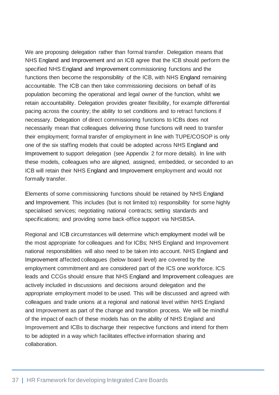We are proposing delegation rather than formal transfer. Delegation means that NHS England and Improvement and an ICB agree that the ICB should perform the specified NHS England and Improvement commissioning functions and the functions then become the responsibility of the ICB, with NHS England remaining accountable. The ICB can then take commissioning decisions on behalf of its population becoming the operational and legal owner of the function, whilst we retain accountability. Delegation provides greater flexibility, for example differential pacing across the country; the ability to set conditions and to retract functions if necessary. Delegation of direct commissioning functions to ICBs does not necessarily mean that colleagues delivering those functions will need to transfer their employment; formal transfer of employment in line with TUPE/COSOP is only one of the six staffing models that could be adopted across NHS England and Improvement to support delegation (see Appendix 2 for more details). In line with these models, colleagues who are aligned, assigned, embedded, or seconded to an ICB will retain their NHS England and Improvement employment and would not formally transfer.

Elements of some commissioning functions should be retained by NHS England and Improvement. This includes (but is not limited to) responsibility for some highly specialised services; negotiating national contracts; setting standards and specifications; and providing some back-office support via NHSBSA.

Regional and ICB circumstances will determine which employment model will be the most appropriate for colleagues and for ICBs; NHS England and Improvement national responsibilities will also need to be taken into account. NHS England and Improvement affected colleagues (below board level) are covered by the employment commitment and are considered part of the ICS one workforce. ICS leads and CCGs should ensure that NHS England and Improvement colleagues are actively included in discussions and decisions around delegation and the appropriate employment model to be used. This will be discussed and agreed with colleagues and trade unions at a regional and national level within NHS England and Improvement as part of the change and transition process. We will be mindful of the impact of each of these models has on the ability of NHS England and Improvement and ICBs to discharge their respective functions and intend for them to be adopted in a way which facilitates effective information sharing and collaboration.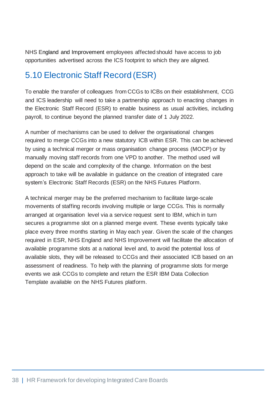NHS England and Improvement employees affected should have access to job opportunities advertised across the ICS footprint to which they are aligned.

## <span id="page-40-0"></span>5.10 Electronic Staff Record (ESR)

To enable the transfer of colleagues from CCGs to ICBs on their establishment, CCG and ICS leadership will need to take a partnership approach to enacting changes in the Electronic Staff Record (ESR) to enable business as usual activities, including payroll, to continue beyond the planned transfer date of 1 July 2022.

A number of mechanisms can be used to deliver the organisational changes required to merge CCGs into a new statutory ICB within ESR. This can be achieved by using a technical merger or mass organisation change process (MOCP) or by manually moving staff records from one VPD to another. The method used will depend on the scale and complexity of the change. Information on the best approach to take will be available in guidance on the creation of integrated care system's Electronic Staff Records (ESR) on the NHS Futures Platform.

A technical merger may be the preferred mechanism to facilitate large-scale movements of staffing records involving multiple or large CCGs. This is normally arranged at organisation level via a service request sent to IBM, which in turn secures a programme slot on a planned merge event. These events typically take place every three months starting in May each year. Given the scale of the changes required in ESR, NHS England and NHS Improvement will facilitate the allocation of available programme slots at a national level and, to avoid the potential loss of available slots, they will be released to CCGs and their associated ICB based on an assessment of readiness. To help with the planning of programme slots for merge events we ask CCGs to complete and return the ESR IBM Data Collection Template available on the NHS Futures platform.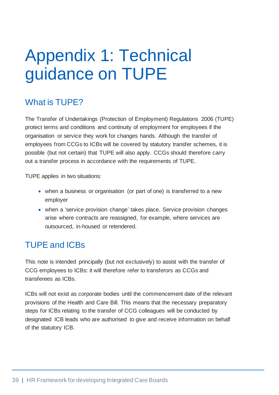## <span id="page-41-0"></span>Appendix 1: Technical guidance on TUPE

#### What is TUPE?

The Transfer of Undertakings (Protection of Employment) Regulations 2006 (TUPE) protect terms and conditions and continuity of employment for employees if the organisation or service they work for changes hands. Although the transfer of employees from CCGs to ICBs will be covered by statutory transfer schemes, it is possible (but not certain) that TUPE will also apply. CCGs should therefore carry out a transfer process in accordance with the requirements of TUPE.

TUPE applies in two situations:

- when a business or organisation (or part of one) is transferred to a new employer
- when a 'service provision change' takes place. Service provision changes arise where contracts are reassigned, for example, where services are outsourced, in-housed or retendered.

### TUPE and ICBs

This note is intended principally (but not exclusively) to assist with the transfer of CCG employees to ICBs: it will therefore refer to transferors as CCGs and transferees as ICBs.

ICBs will not exist as corporate bodies until the commencement date of the relevant provisions of the Health and Care Bill. This means that the necessary preparatory steps for ICBs relating to the transfer of CCG colleagues will be conducted by designated ICB leads who are authorised to give and receive information on behalf of the statutory ICB.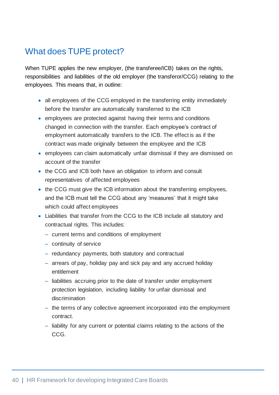### What does TUPE protect?

When TUPE applies the new employer, (the transferee/ICB) takes on the rights, responsibilities and liabilities of the old employer (the transferor/CCG) relating to the employees. This means that, in outline:

- all employees of the CCG employed in the transferring entity immediately before the transfer are automatically transferred to the ICB
- employees are protected against having their terms and conditions changed in connection with the transfer. Each employee's contract of employment automatically transfers to the ICB. The effect is as if the contract was made originally between the employee and the ICB
- employees can claim automatically unfair dismissal if they are dismissed on account of the transfer
- the CCG and ICB both have an obligation to inform and consult representatives of affected employees
- the CCG must give the ICB information about the transferring employees, and the ICB must tell the CCG about any 'measures' that it might take which could affect employees
- Liabilities that transfer from the CCG to the ICB include all statutory and contractual rights. This includes:
	- current terms and conditions of employment
	- continuity of service
	- ‒ redundancy payments, both statutory and contractual
	- ‒ arrears of pay, holiday pay and sick pay and any accrued holiday entitlement
	- liabilities accruing prior to the date of transfer under employment protection legislation, including liability for unfair dismissal and discrimination
	- the terms of any collective agreement incorporated into the employment contract.
	- ‒ liability for any current or potential claims relating to the actions of the CCG.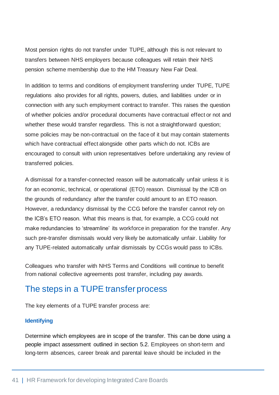Most pension rights do not transfer under TUPE, although this is not relevant to transfers between NHS employers because colleagues will retain their NHS pension scheme membership due to the HM Treasury New Fair Deal.

In addition to terms and conditions of employment transferring under TUPE, TUPE regulations also provides for all rights, powers, duties, and liabilities under or in connection with any such employment contract to transfer. This raises the question of whether policies and/or procedural documents have contractual effect or not and whether these would transfer regardless. This is not a straightforward question; some policies may be non-contractual on the face of it but may contain statements which have contractual effect alongside other parts which do not. ICBs are encouraged to consult with union representatives before undertaking any review of transferred policies.

A dismissal for a transfer-connected reason will be automatically unfair unless it is for an economic, technical, or operational (ETO) reason. Dismissal by the ICB on the grounds of redundancy after the transfer could amount to an ETO reason. However, a redundancy dismissal by the CCG before the transfer cannot rely on the ICB's ETO reason. What this means is that, for example, a CCG could not make redundancies to 'streamline' its workforce in preparation for the transfer. Any such pre-transfer dismissals would very likely be automatically unfair. Liability for any TUPE-related automatically unfair dismissals by CCGs would pass to ICBs.

Colleagues who transfer with NHS Terms and Conditions will continue to benefit from national collective agreements post transfer, including pay awards.

#### The steps in a TUPE transfer process

The key elements of a TUPE transfer process are:

#### **Identifying**

Determine which employees are in scope of the transfer. This can be done using a people impact assessment outlined in section 5.2. Employees on short-term and long-term absences, career break and parental leave should be included in the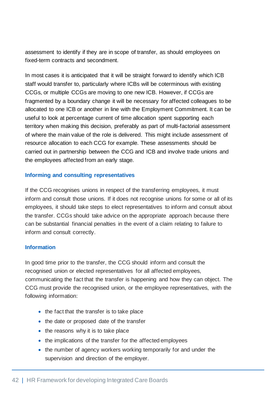assessment to identify if they are in scope of transfer, as should employees on fixed-term contracts and secondment.

In most cases it is anticipated that it will be straight forward to identify which ICB staff would transfer to, particularly where ICBs will be coterminous with existing CCGs, or multiple CCGs are moving to one new ICB. However, if CCGs are fragmented by a boundary change it will be necessary for affected colleagues to be allocated to one ICB or another in line with the Employment Commitment. It can be useful to look at percentage current of time allocation spent supporting each territory when making this decision, preferably as part of multi-factorial assessment of where the main value of the role is delivered. This might include assessment of resource allocation to each CCG for example. These assessments should be carried out in partnership between the CCG and ICB and involve trade unions and the employees affected from an early stage.

#### **Informing and consulting representatives**

If the CCG recognises unions in respect of the transferring employees, it must inform and consult those unions. If it does not recognise unions for some or all of its employees, it should take steps to elect representatives to inform and consult about the transfer. CCGs should take advice on the appropriate approach because there can be substantial financial penalties in the event of a claim relating to failure to inform and consult correctly.

#### **Information**

In good time prior to the transfer, the CCG should inform and consult the recognised union or elected representatives for all affected employees, communicating the fact that the transfer is happening and how they can object. The CCG must provide the recognised union, or the employee representatives, with the following information:

- the fact that the transfer is to take place
- the date or proposed date of the transfer
- the reasons why it is to take place
- the implications of the transfer for the affected employees
- the number of agency workers working temporarily for and under the supervision and direction of the employer.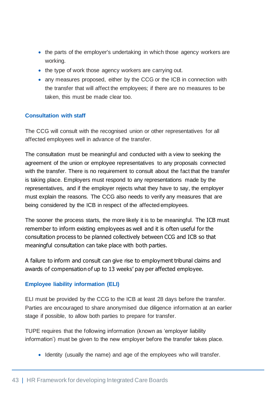- the parts of the employer's undertaking in which those agency workers are working.
- the type of work those agency workers are carrying out.
- any measures proposed, either by the CCG or the ICB in connection with the transfer that will affect the employees; if there are no measures to be taken, this must be made clear too.

#### **Consultation with staff**

The CCG will consult with the recognised union or other representatives for all affected employees well in advance of the transfer.

The consultation must be meaningful and conducted with a view to seeking the agreement of the union or employee representatives to any proposals connected with the transfer. There is no requirement to consult about the fact that the transfer is taking place. Employers must respond to any representations made by the representatives, and if the employer rejects what they have to say, the employer must explain the reasons. The CCG also needs to verify any measures that are being considered by the ICB in respect of the affected employees.

The sooner the process starts, the more likely it is to be meaningful. The ICB must remember to inform existing employees as well and it is often useful for the consultation process to be planned collectively between CCG and ICB so that meaningful consultation can take place with both parties.

A failure to inform and consult can give rise to employment tribunal claims and awards of compensation of up to 13 weeks' pay per affected employee.

#### **Employee liability information (ELI)**

ELI must be provided by the CCG to the ICB at least 28 days before the transfer. Parties are encouraged to share anonymised due diligence information at an earlier stage if possible, to allow both parties to prepare for transfer.

TUPE requires that the following information (known as 'employer liability information') must be given to the new employer before the transfer takes place.

• Identity (usually the name) and age of the employees who will transfer.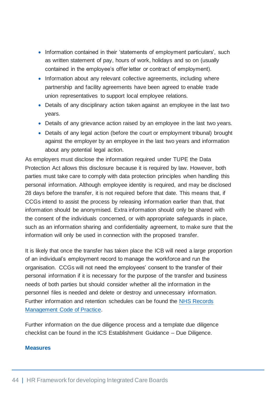- Information contained in their 'statements of employment particulars', such as written statement of pay, hours of work, holidays and so on (usually contained in the employee's offer letter or contract of employment).
- Information about any relevant collective agreements, including where partnership and facility agreements have been agreed to enable trade union representatives to support local employee relations.
- Details of any disciplinary action taken against an employee in the last two years.
- Details of any grievance action raised by an employee in the last two years.
- Details of any legal action (before the court or employment tribunal) brought against the employer by an employee in the last two years and information about any potential legal action.

As employers must disclose the information required under TUPE the Data Protection Act allows this disclosure because it is required by law. However, both parties must take care to comply with data protection principles when handling this personal information. Although employee identity is required, and may be disclosed 28 days before the transfer, it is not required before that date. This means that, if CCGs intend to assist the process by releasing information earlier than that, that information should be anonymised. Extra information should only be shared with the consent of the individuals concerned, or with appropriate safeguards in place, such as an information sharing and confidentiality agreement, to make sure that the information will only be used in connection with the proposed transfer.

It is likely that once the transfer has taken place the ICB will need a large proportion of an individual's employment record to manage the workforce and run the organisation. CCGs will not need the employees' consent to the transfer of their personal information if it is necessary for the purpose of the transfer and business needs of both parties but should consider whether all the information in the personnel files is needed and delete or destroy and unnecessary information. Further information and retention schedules can be found the [NHS Records](https://www.england.nhs.uk/wp-content/uploads/2017/09/corporate-document-and-records-management-v2.1-updated.pdf)  [Management Code of Practice.](https://www.england.nhs.uk/wp-content/uploads/2017/09/corporate-document-and-records-management-v2.1-updated.pdf)

Further information on the due diligence process and a template due diligence checklist can be found in the ICS Establishment Guidance – Due Diligence.

#### **Measures**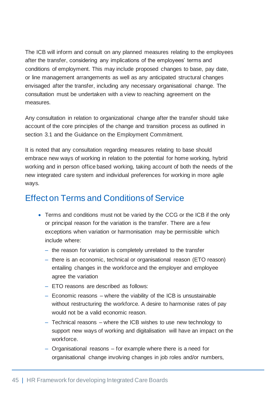The ICB will inform and consult on any planned measures relating to the employees after the transfer, considering any implications of the employees' terms and conditions of employment. This may include proposed changes to base, pay date, or line management arrangements as well as any anticipated structural changes envisaged after the transfer, including any necessary organisational change. The consultation must be undertaken with a view to reaching agreement on the measures.

Any consultation in relation to organizational change after the transfer should take account of the core principles of the change and transition process as outlined in section 3.1 and the Guidance on the Employment Commitment.

It is noted that any consultation regarding measures relating to base should embrace new ways of working in relation to the potential for home working, hybrid working and in person office based working, taking account of both the needs of the new integrated care system and individual preferences for working in more agile ways.

#### Effect on Terms and Conditions of Service

- Terms and conditions must not be varied by the CCG or the ICB if the only or principal reason for the variation is the transfer. There are a few exceptions when variation or harmonisation may be permissible which include where:
	- ‒ the reason for variation is completely unrelated to the transfer
	- there is an economic, technical or organisational reason (ETO reason) entailing changes in the workforce and the employer and employee agree the variation
	- ‒ ETO reasons are described as follows:
	- $-$  Economic reasons  $-$  where the viability of the ICB is unsustainable without restructuring the workforce. A desire to harmonise rates of pay would not be a valid economic reason.
	- ‒ Technical reasons where the ICB wishes to use new technology to support new ways of working and digitalisation will have an impact on the workforce.
	- ‒ Organisational reasons for example where there is a need for organisational change involving changes in job roles and/or numbers,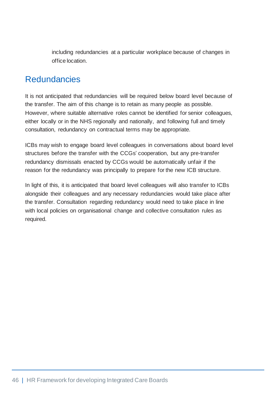including redundancies at a particular workplace because of changes in office location.

#### Redundancies

It is not anticipated that redundancies will be required below board level because of the transfer. The aim of this change is to retain as many people as possible. However, where suitable alternative roles cannot be identified for senior colleagues, either locally or in the NHS regionally and nationally, and following full and timely consultation, redundancy on contractual terms may be appropriate.

ICBs may wish to engage board level colleagues in conversations about board level structures before the transfer with the CCGs' cooperation, but any pre-transfer redundancy dismissals enacted by CCGs would be automatically unfair if the reason for the redundancy was principally to prepare for the new ICB structure.

In light of this, it is anticipated that board level colleagues will also transfer to ICBs alongside their colleagues and any necessary redundancies would take place after the transfer. Consultation regarding redundancy would need to take place in line with local policies on organisational change and collective consultation rules as required.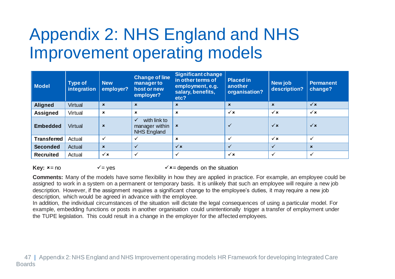## Appendix 2: NHS England and NHS Improvement operating models

| Model              | <b>Type of</b><br>integration | <b>New</b><br>employer?   | <b>Change of line</b><br>manager to<br>host or new<br>employer?      | <b>Significant change</b><br>in other terms of<br>employment, e.g.<br>salary, benefits,<br>etc? | <b>Placed in</b><br>another<br>organisation? | New job<br>description?   | <b>Permanent</b><br>change? |
|--------------------|-------------------------------|---------------------------|----------------------------------------------------------------------|-------------------------------------------------------------------------------------------------|----------------------------------------------|---------------------------|-----------------------------|
| <b>Aligned</b>     | Virtual                       | $\boldsymbol{\mathsf{x}}$ | $\mathbf{x}$                                                         | $\boldsymbol{\mathsf{x}}$                                                                       | $\boldsymbol{\mathsf{x}}$                    | $\boldsymbol{\mathsf{x}}$ | $\checkmark$ x              |
| <b>Assigned</b>    | Virtual                       | $\boldsymbol{\mathsf{x}}$ | $\boldsymbol{\mathsf{x}}$                                            | $\boldsymbol{\mathsf{x}}$                                                                       | $\checkmark$ x                               | $\checkmark$ x            | $\checkmark$ x              |
| <b>Embedded</b>    | Virtual                       | $\boldsymbol{\mathsf{x}}$ | with link to<br>$\checkmark$<br>manager within<br><b>NHS England</b> | $\boldsymbol{\mathsf{x}}$                                                                       | $\checkmark$                                 | $\checkmark$ x            | $\checkmark$ x              |
| <b>Transferred</b> | Actual                        | $\checkmark$              |                                                                      | $\boldsymbol{\mathsf{x}}$                                                                       | $\checkmark$                                 | $\checkmark$ x            | $\checkmark$                |
| <b>Seconded</b>    | Actual                        | $\boldsymbol{\mathsf{x}}$ | $\checkmark$                                                         | $\checkmark$ x                                                                                  | $\checkmark$                                 |                           | $\mathbf{x}$                |
| <b>Recruited</b>   | Actual                        | $\checkmark$ x            | $\ddot{\phantom{0}}$                                                 | ✓                                                                                               | $\checkmark$ x                               | $\checkmark$              | $\checkmark$                |

<span id="page-49-0"></span>**Key:**  $x = no$   $\checkmark$  = yes  $\checkmark$  = depends on the situation

**Comments:** Many of the models have some flexibility in how they are applied in practice. For example, an employee could be assigned to work in a system on a permanent or temporary basis. It is unlikely that such an employee will require a new job description. However, if the assignment requires a significant change to the employee's duties, it may require a new job description, which would be agreed in advance with the employee.

In addition, the individual circumstances of the situation will dictate the legal consequences of using a particular model. For example, embedding functions or posts in another organisation could unintentionally trigger a transfer of employment under the TUPE legislation. This could result in a change in the employer for the affected employees.

 47 | Appendix 2: NHS England and NHS Improvement operating models HR Framework for developing Integrated Care Boards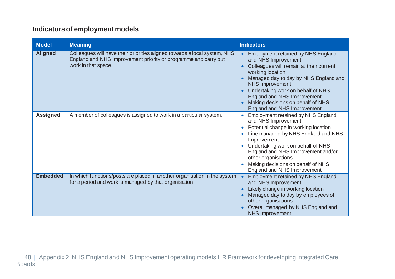#### **Indicators of employment models**

| <b>Model</b>    | <b>Meaning</b>                                                                                                                                                      | <b>Indicators</b>                                                                                                                                                                                                                                                                                                                                       |
|-----------------|---------------------------------------------------------------------------------------------------------------------------------------------------------------------|---------------------------------------------------------------------------------------------------------------------------------------------------------------------------------------------------------------------------------------------------------------------------------------------------------------------------------------------------------|
| <b>Aligned</b>  | Colleagues will have their priorities aligned towards a local system, NHS<br>England and NHS Improvement priority or programme and carry out<br>work in that space. | <b>Employment retained by NHS England</b><br>and NHS Improvement<br>Colleagues will remain at their current<br>working location<br>Managed day to day by NHS England and<br><b>NHS Improvement</b><br>Undertaking work on behalf of NHS<br>$\bullet$<br>England and NHS Improvement<br>Making decisions on behalf of NHS<br>England and NHS Improvement |
| <b>Assigned</b> | A member of colleagues is assigned to work in a particular system.                                                                                                  | <b>Employment retained by NHS England</b><br>and NHS Improvement<br>Potential change in working location<br>$\bullet$<br>Line managed by NHS England and NHS<br>Improvement<br>Undertaking work on behalf of NHS<br>England and NHS Improvement and/or<br>other organisations<br>Making decisions on behalf of NHS<br>England and NHS Improvement       |
| <b>Embedded</b> | In which functions/posts are placed in another organisation in the system<br>for a period and work is managed by that organisation.                                 | <b>Employment retained by NHS England</b><br>and NHS Improvement<br>Likely change in working location<br>Ċ<br>Managed day to day by employees of<br>other organisations<br>Overall managed by NHS England and<br><b>NHS Improvement</b>                                                                                                                 |

 48 | Appendix 2: NHS England and NHS Improvement operating models HR Framework for developing Integrated Care **Boards**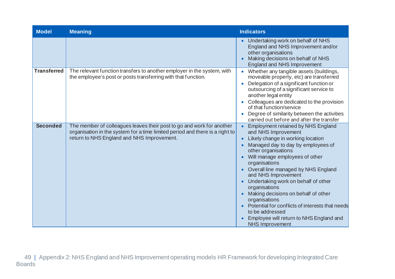| <b>Model</b>       | <b>Meaning</b>                                                                                                                                                                                      | <b>Indicators</b>                                                                                                                                                                                                                                                                                                                                                                                                                                                                                                                              |
|--------------------|-----------------------------------------------------------------------------------------------------------------------------------------------------------------------------------------------------|------------------------------------------------------------------------------------------------------------------------------------------------------------------------------------------------------------------------------------------------------------------------------------------------------------------------------------------------------------------------------------------------------------------------------------------------------------------------------------------------------------------------------------------------|
|                    |                                                                                                                                                                                                     | Undertaking work on behalf of NHS<br>England and NHS Improvement and/or<br>other organisations<br>Making decisions on behalf of NHS<br>England and NHS Improvement                                                                                                                                                                                                                                                                                                                                                                             |
| <b>Transferred</b> | The relevant function transfers to another employer in the system, with<br>the employee's post or posts transferring with that function.                                                            | Whether any tangible assets (buildings,<br>moveable property, etc) are transferred<br>Delegation of a significant function or<br>outsourcing of a significant service to<br>another legal entity<br>Colleagues are dedicated to the provision<br>of that function/service<br>Degree of similarity between the activities<br>carried out before and after the transfer                                                                                                                                                                          |
| <b>Seconded</b>    | The member of colleagues leaves their post to go and work for another<br>organisation in the system for a time limited period and there is a right to<br>return to NHS England and NHS Improvement. | <b>Employment retained by NHS England</b><br>and NHS Improvement<br>Likely change in working location<br>Managed day to day by employees of<br>other organisations<br>Will manage employees of other<br>organisations<br>Overall line managed by NHS England<br>and NHS Improvement<br>Undertaking work on behalf of other<br>organisations<br>Making decisions on behalf of other<br>organisations<br>Potential for conflicts of interests that needs<br>to be addressed<br>Employee will return to NHS England and<br><b>NHS Improvement</b> |

 49 | Appendix 2: NHS England and NHS Improvement operating models HR Framework for developing Integrated Care **Boards**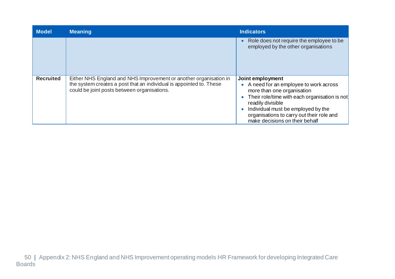| <b>Model</b>     | <b>Meaning</b>                                                                                                                                                                          | <b>Indicators</b>                                                                                                                                                                                                                                                                               |
|------------------|-----------------------------------------------------------------------------------------------------------------------------------------------------------------------------------------|-------------------------------------------------------------------------------------------------------------------------------------------------------------------------------------------------------------------------------------------------------------------------------------------------|
|                  |                                                                                                                                                                                         | Role does not require the employee to be<br>employed by the other organisations                                                                                                                                                                                                                 |
| <b>Recruited</b> | Either NHS England and NHS Improvement or another organisation in<br>the system creates a post that an individual is appointed to. These<br>could be joint posts between organisations. | Joint employment<br>A need for an employee to work across<br>$\bullet$<br>more than one organisation<br>Their role/time with each organisation is not<br>readily divisible<br>Individual must be employed by the<br>organisations to carry out their role and<br>make decisions on their behalf |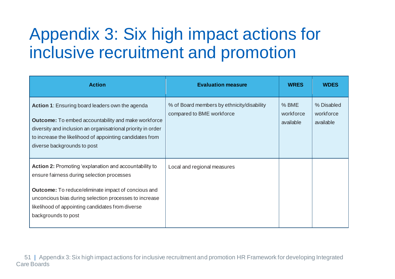## Appendix 3: Six high impact actions for inclusive recruitment and promotion

<span id="page-53-0"></span>

| <b>Action</b>                                                                                                                                                                                                                                                            | <b>Evaluation measure</b>                                               | <b>WRES</b>                     | <b>WDES</b>                          |
|--------------------------------------------------------------------------------------------------------------------------------------------------------------------------------------------------------------------------------------------------------------------------|-------------------------------------------------------------------------|---------------------------------|--------------------------------------|
| Action 1: Ensuring board leaders own the agenda<br><b>Outcome:</b> To embed accountability and make workforce<br>diversity and inclusion an organisatrional priority in order<br>to increase the likelihood of appointing candidates from<br>diverse backgrounds to post | % of Board members by ethnicity/disability<br>compared to BME workforce | % BME<br>workforce<br>available | % Disabled<br>workforce<br>available |
| <b>Action 2: Promoting 'explanation and accountability to</b><br>ensure fairness during selection processes                                                                                                                                                              | Local and regional measures                                             |                                 |                                      |
| <b>Outcome:</b> To reduce/eliminate impact of concious and<br>unconcious bias during selection processes to increase<br>likelihood of appointing candidates from diverse<br>backgrounds to post                                                                          |                                                                         |                                 |                                      |

 51 | Appendix 3: Six high impact actions for inclusive recruitment and promotion HR Framework for developing Integrated Care Boards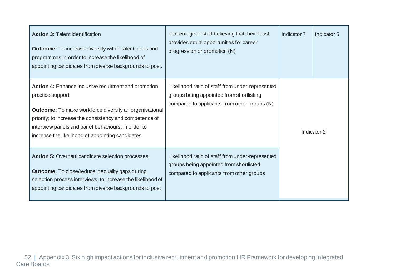| <b>Action 3: Talent identification</b><br><b>Outcome:</b> To increase diversity within talent pools and<br>programmes in order to increase the likelihood of<br>appointing candidates from diverse backgrounds to post.                                                                                        | Percentage of staff believing that their Trust<br>provides equal opportunities for career<br>progression or promotion (N)                    | Indicator 7 | Indicator 5 |
|----------------------------------------------------------------------------------------------------------------------------------------------------------------------------------------------------------------------------------------------------------------------------------------------------------------|----------------------------------------------------------------------------------------------------------------------------------------------|-------------|-------------|
| Action 4: Enhance inclusive recuitment and promotion<br>practice support<br><b>Outcome:</b> To make workforce diversity an organisational<br>priority; to increase the consistency and competence of<br>interview panels and panel behaviours; in order to<br>increase the likelihood of appointing candidates | Likelihood ratio of staff from under-represented<br>groups being appointed from shortlisting<br>compared to applicants from other groups (N) |             | Indicator 2 |
| <b>Action 5: Overhaul candidate selection processes</b><br><b>Outcome:</b> To close/reduce inequality gaps during<br>selection process interviews; to increase the likelihood of<br>appointing candidates from diverse backgrounds to post                                                                     | Likelihood ratio of staff from under-represented<br>groups being appointed from shortlisted<br>compared to applicants from other groups      |             |             |

 52 | Appendix 3: Six high impact actions for inclusive recruitment and promotion HR Framework for developing Integrated Care Boards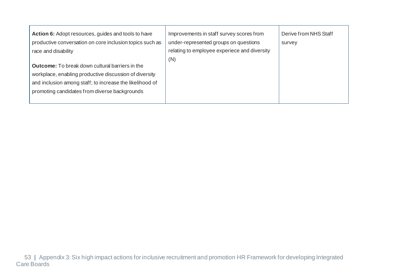| Action 6: Adopt resources, guides and tools to have<br>productive conversation on core inclusion topics such as<br>race and disability                                                                                        | Improvements in staff survey scores from<br>under-represented groups on questions<br>relating to employee experiece and diversity<br>(N) | Derive from NHS Staff<br>survey |
|-------------------------------------------------------------------------------------------------------------------------------------------------------------------------------------------------------------------------------|------------------------------------------------------------------------------------------------------------------------------------------|---------------------------------|
| <b>Outcome:</b> To break down cultural barriers in the<br>workplace, enabling productive discussion of diversity<br>and inclusion among staff; to increase the likelihood of<br>promoting candidates from diverse backgrounds |                                                                                                                                          |                                 |

 53 | Appendix 3: Six high impact actions for inclusive recruitment and promotion HR Framework for developing Integrated Care Boards